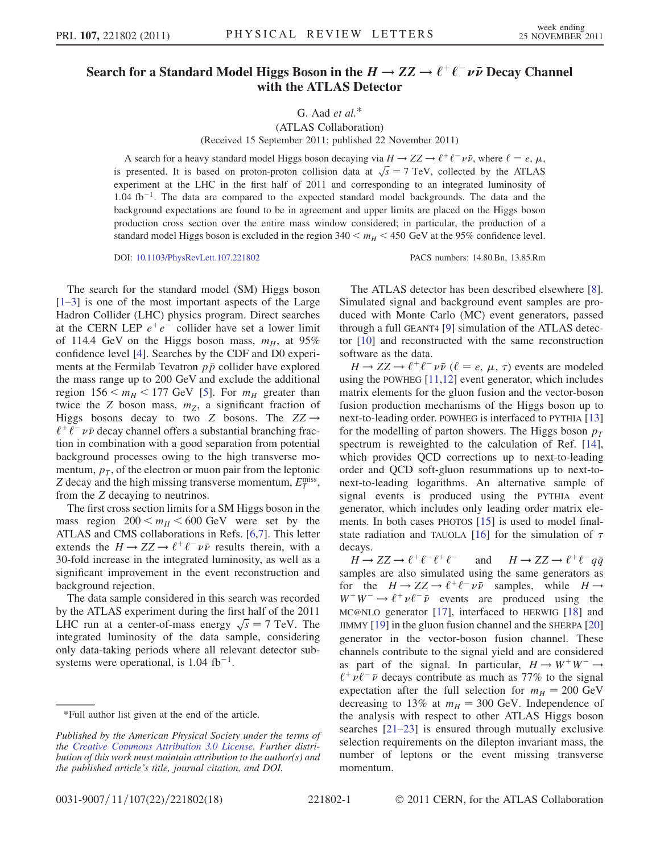## Search for a Standard Model Higgs Boson in the  $H \to ZZ \to \ell^+ \ell^- \nu \bar{\nu}$  Decay Channel with the ATLAS Detector

G. Aad  $et$  al. $*$ 

(ATLAS Collaboration) (Received 15 September 2011; published 22 November 2011)

A search for a heavy standard model Higgs boson decaying via  $H \to ZZ \to \ell^+ \ell^- \nu \bar{\nu}$ , where  $\ell = e, \mu$ , research It is based on proton proton collision data at  $\sqrt{s} = 7$  TeV, collected by the ATLAS is presented. It is based on proton-proton collision data at  $\sqrt{s} = 7$  TeV, collected by the ATLAS experiment at the LHC in the first half of 2011 and corresponding to an integrated luminosity of  $1.04 \text{ fb}^{-1}$ . The data are compared to the expected standard model backgrounds. The data and the background expectations are found to be in agreement and upper limits are placed on the Higgs boson production cross section over the entire mass window considered; in particular, the production of a standard model Higgs boson is excluded in the region  $340 \lt m_H \lt 450$  GeV at the 95% confidence level.

DOI: [10.1103/PhysRevLett.107.221802](http://dx.doi.org/10.1103/PhysRevLett.107.221802) PACS numbers: 14.80.Bn, 13.85.Rm

The search for the standard model (SM) Higgs boson [\[1–](#page-4-0)[3](#page-4-1)] is one of the most important aspects of the Large Hadron Collider (LHC) physics program. Direct searches at the CERN LEP  $e^+e^-$  collider have set a lower limit of 114.4 GeV on the Higgs boson mass,  $m_H$ , at 95% confidence level [[4](#page-4-2)]. Searches by the CDF and D0 experiments at the Fermilab Tevatron  $p\bar{p}$  collider have explored the mass range up to 200 GeV and exclude the additional region  $156 \le m_H \le 177$  GeV [\[5\]](#page-4-3). For  $m_H$  greater than twice the Z boson mass,  $m<sub>Z</sub>$ , a significant fraction of Higgs bosons decay to two Z bosons. The  $ZZ \rightarrow$  $\ell^+ \ell^- \nu \bar{\nu}$  decay channel offers a substantial branching fraction in combination with a good separation from potential background processes owing to the high transverse momentum,  $p_T$ , of the electron or muon pair from the leptonic Z decay and the high missing transverse momentum,  $E_T^{\text{miss}}$ ,<br>from the Z decaying to neutrinos from the Z decaying to neutrinos.

The first cross section limits for a SM Higgs boson in the mass region  $200 \le m_H \le 600$  GeV were set by the ATLAS and CMS collaborations in Refs. [[6](#page-4-4),[7\]](#page-4-5). This letter extends the  $H \to ZZ \to \ell^+ \ell^- \nu \bar{\nu}$  results therein, with a 30-fold increase in the integrated luminosity, as well as a significant improvement in the event reconstruction and background rejection.

The data sample considered in this search was recorded by the ATLAS experiment during the first half of the 2011 LHC run at a center-of-mass energy  $\sqrt{s} = 7$  TeV. The<br>integrated luminosity of the data sample considering integrated luminosity of the data sample, considering only data-taking periods where all relevant detector subsystems were operational, is  $1.04$  fb<sup>-1</sup>.

The ATLAS detector has been described elsewhere [[8\]](#page-4-6). Simulated signal and background event samples are produced with Monte Carlo (MC) event generators, passed through a full GEANT4 [[9\]](#page-4-7) simulation of the ATLAS detector [[10](#page-4-8)] and reconstructed with the same reconstruction software as the data.

 $H \to ZZ \to \ell^+ \ell^- \nu \bar{\nu}$  ( $\ell = e, \mu, \tau$ ) events are modeled<br>ing the POWHEG [11.12] event generator, which includes using the POWHEG [\[11,](#page-4-9)[12\]](#page-4-10) event generator, which includes matrix elements for the gluon fusion and the vector-boson fusion production mechanisms of the Higgs boson up to next-to-leading order. POWHEG is interfaced to PYTHIA [\[13\]](#page-4-11) for the modelling of parton showers. The Higgs boson  $p_T$ spectrum is reweighted to the calculation of Ref. [\[14\]](#page-4-12), which provides QCD corrections up to next-to-leading order and QCD soft-gluon resummations up to next-tonext-to-leading logarithms. An alternative sample of signal events is produced using the PYTHIA event generator, which includes only leading order matrix elements. In both cases PHOTOS [[15\]](#page-4-13) is used to model final-state radiation and TAUOLA [[16](#page-4-14)] for the simulation of  $\tau$ decays.

 $H \to ZZ \to \ell^+ \ell^- \ell^+ \ell^-$  and  $H \to ZZ \to \ell^+ \ell^- q\bar{q}$ <br>samples are also simulated using the same generators as for the  $H \to ZZ \to \ell^+ \ell^- \nu \bar{\nu}$  samples, while  $H \to$  $W^+W^- \rightarrow \ell^+ \nu \ell^- \bar{\nu}$  events are produced using the MC@NLO generator [[17](#page-4-15)], interfaced to HERWIG [\[18\]](#page-4-16) and JIMMY [\[19\]](#page-4-17) in the gluon fusion channel and the SHERPA [\[20\]](#page-4-18) generator in the vector-boson fusion channel. These channels contribute to the signal yield and are considered as part of the signal. In particular,  $H \rightarrow W^+W^- \rightarrow$  $\ell^+ \nu \ell^- \bar{\nu}$  decays contribute as much as 77% to the signal expectation after the full selection for  $m_H = 200 \text{ GeV}$ decreasing to 13% at  $m_H = 300$  GeV. Independence of the analysis with respect to other ATLAS Higgs boson searches [[21](#page-4-19)[–23\]](#page-4-20) is ensured through mutually exclusive selection requirements on the dilepton invariant mass, the number of leptons or the event missing transverse momentum.

<sup>\*</sup>Full author list given at the end of the article.

Published by the American Physical Society under the terms of the [Creative Commons Attribution 3.0 License.](http://creativecommons.org/licenses/by/3.0/) Further distribution of this work must maintain attribution to the author(s) and the published article's title, journal citation, and DOI.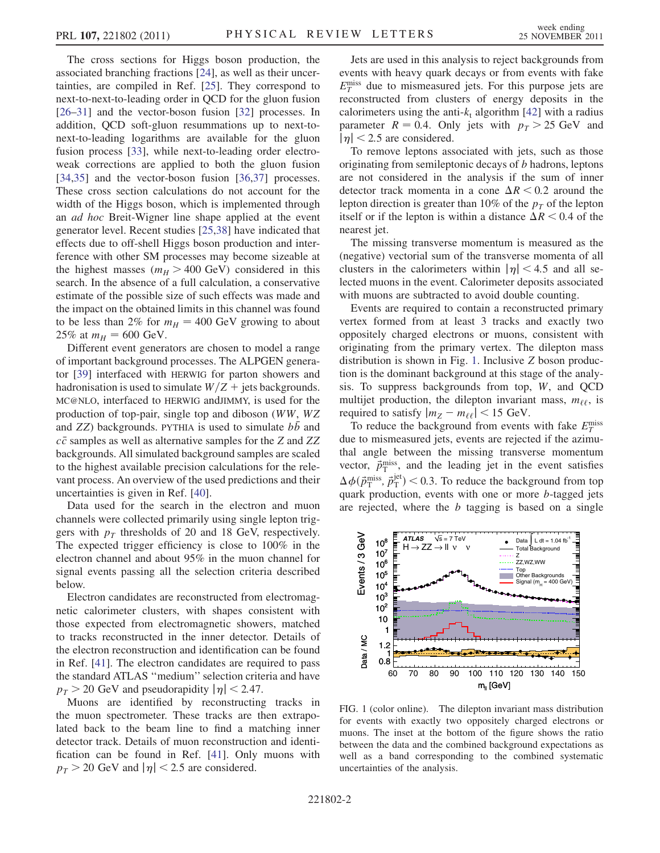The cross sections for Higgs boson production, the associated branching fractions [\[24\]](#page-4-21), as well as their uncertainties, are compiled in Ref. [\[25\]](#page-4-22). They correspond to next-to-next-to-leading order in QCD for the gluon fusion [\[26–](#page-4-23)[31\]](#page-4-24) and the vector-boson fusion [[32](#page-4-25)] processes. In addition, QCD soft-gluon resummations up to next-tonext-to-leading logarithms are available for the gluon fusion process [[33](#page-4-26)], while next-to-leading order electroweak corrections are applied to both the gluon fusion [\[34](#page-4-27)[,35\]](#page-4-28) and the vector-boson fusion [[36](#page-4-29),[37](#page-4-30)] processes. These cross section calculations do not account for the width of the Higgs boson, which is implemented through an ad hoc Breit-Wigner line shape applied at the event generator level. Recent studies [[25,](#page-4-22)[38](#page-5-0)] have indicated that effects due to off-shell Higgs boson production and interference with other SM processes may become sizeable at the highest masses ( $m_H > 400$  GeV) considered in this search. In the absence of a full calculation, a conservative estimate of the possible size of such effects was made and the impact on the obtained limits in this channel was found to be less than 2% for  $m_H = 400$  GeV growing to about 25% at  $m_H = 600$  GeV.

Different event generators are chosen to model a range of important background processes. The ALPGEN generator [\[39\]](#page-5-1) interfaced with HERWIG for parton showers and hadronisation is used to simulate  $W/Z$  + jets backgrounds. MC@NLO, interfaced to HERWIG andJIMMY, is used for the production of top-pair, single top and diboson (WW, WZ and  $ZZ$ ) backgrounds. PYTHIA is used to simulate  $b\bar{b}$  and  $c\bar{c}$  samples as well as alternative samples for the Z and ZZ backgrounds. All simulated background samples are scaled to the highest available precision calculations for the relevant process. An overview of the used predictions and their uncertainties is given in Ref. [\[40\]](#page-5-2).

Data used for the search in the electron and muon channels were collected primarily using single lepton triggers with  $p_T$  thresholds of 20 and 18 GeV, respectively. The expected trigger efficiency is close to 100% in the electron channel and about 95% in the muon channel for signal events passing all the selection criteria described below.

Electron candidates are reconstructed from electromagnetic calorimeter clusters, with shapes consistent with those expected from electromagnetic showers, matched to tracks reconstructed in the inner detector. Details of the electron reconstruction and identification can be found in Ref. [\[41\]](#page-5-3). The electron candidates are required to pass the standard ATLAS ''medium'' selection criteria and have  $p_T > 20$  GeV and pseudorapidity  $|\eta| < 2.47$ .

Muons are identified by reconstructing tracks in the muon spectrometer. These tracks are then extrapolated back to the beam line to find a matching inner detector track. Details of muon reconstruction and identification can be found in Ref. [[41](#page-5-3)]. Only muons with  $p_T > 20$  GeV and  $|\eta| < 2.5$  are considered.

Jets are used in this analysis to reject backgrounds from events with heavy quark decays or from events with fake  $E_T^{\text{miss}}$  due to mismeasured jets. For this purpose jets are reconstructed from clusters of energy denosits in the reconstructed from clusters of energy deposits in the calorimeters using the anti- $k_t$  algorithm [\[42\]](#page-5-4) with a radius parameter  $R = 0.4$ . Only jets with  $p<sub>T</sub> > 25$  GeV and  $|\eta|$  < 2.5 are considered.

To remove leptons associated with jets, such as those originating from semileptonic decays of b hadrons, leptons are not considered in the analysis if the sum of inner detector track momenta in a cone  $\Delta R < 0.2$  around the lepton direction is greater than 10% of the  $p_x$  of the lepton lepton direction is greater than 10% of the  $p<sub>T</sub>$  of the lepton itself or if the lepton is within a distance  $\Delta R < 0.4$  of the nearest jet nearest jet.

The missing transverse momentum is measured as the (negative) vectorial sum of the transverse momenta of all clusters in the calorimeters within  $|\eta|$  < 4.5 and all selected muons in the event. Calorimeter deposits associated with muons are subtracted to avoid double counting.

Events are required to contain a reconstructed primary vertex formed from at least 3 tracks and exactly two oppositely charged electrons or muons, consistent with originating from the primary vertex. The dilepton mass distribution is shown in Fig. [1.](#page-1-0) Inclusive Z boson production is the dominant background at this stage of the analysis. To suppress backgrounds from top, W, and QCD multijet production, the dilepton invariant mass,  $m_{\ell\ell}$ , is required to satisfy  $|m_Z - m_{\ell\ell}| < 15$  GeV.

To reduce the background from events with fake  $E_T^{\text{miss}}$ due to mismeasured jets, events are rejected if the azimuthal angle between the missing transverse momentum vector,  $\vec{p}_{\text{T}}^{\text{miss}}$ , and the leading jet in the event satisfies  $\Delta \phi(\vec{p}_{\rm T}^{\rm miss}, \vec{p}_{\rm T}^{\rm jet})$  < 0.3. To reduce the background from top quark production, events with one or more b-tagged jets  $\Delta \varphi(p_T, p_T) \leq 0.5$ . To reduce the background from top<br>quark production, events with one or more b-tagged jets<br>are rejected, where the b tagging is based on a single are rejected, where the  $b$  tagging is based on a single

<span id="page-1-0"></span>

FIG. 1 (color online). The dilepton invariant mass distribution for events with exactly two oppositely charged electrons or muons. The inset at the bottom of the figure shows the ratio between the data and the combined background expectations as well as a band corresponding to the combined systematic uncertainties of the analysis.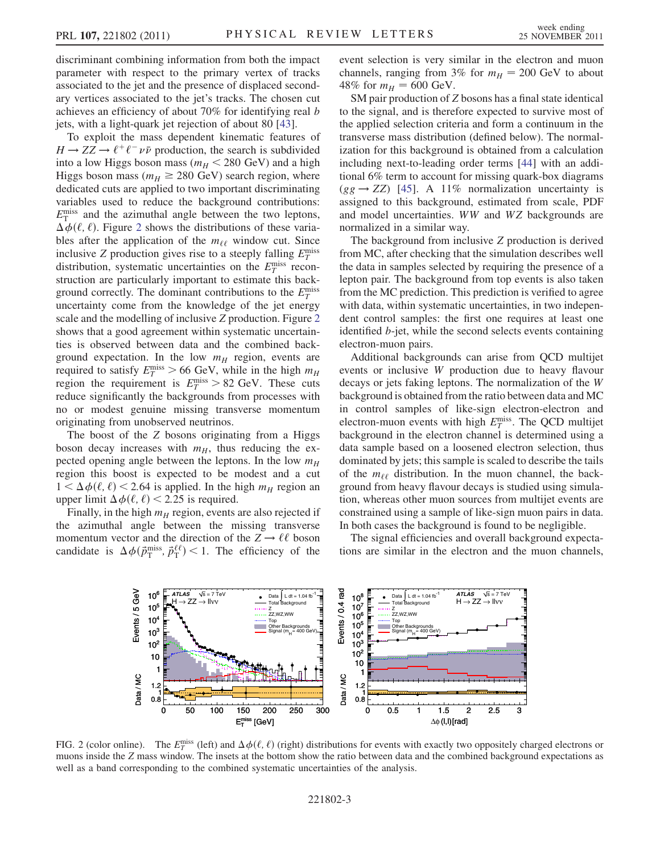discriminant combining information from both the impact parameter with respect to the primary vertex of tracks associated to the jet and the presence of displaced secondary vertices associated to the jet's tracks. The chosen cut achieves an efficiency of about 70% for identifying real b jets, with a light-quark jet rejection of about 80 [[43](#page-5-5)].

To exploit the mass dependent kinematic features of  $H \to ZZ \to \ell^+ \ell^- \nu \bar{\nu}$  production, the search is subdivided into a low Higgs boson mass ( $m_H < 280$  GeV) and a high Higgs boson mass ( $m_H \geq 280$  GeV) search region, where dedicated cuts are annlied to two important discriminating dedicated cuts are applied to two important discriminating variables used to reduce the background contributions:  $E_T^{\text{miss}}$  and the azimuthal angle between the two leptons,<br> $\Delta \phi(\ell, \ell)$ . Figure 2 shows the distributions of these varia- $\Delta \phi(\ell, \ell)$ . Figure [2](#page-2-0) shows the distributions of these varia-<br>bles after the application of the *mee* window cut. Since bles after the application of the  $m_{\ell\ell}$  window cut. Since inclusive Z production gives rise to a steeply falling  $E_T^{\text{miss}}$ distribution, systematic uncertainties on the  $E_T^{\text{miss}}$  reconstruction are particularly important to estimate this backstruction are particularly important to estimate this background correctly. The dominant contributions to the  $E_T^{\text{miss}}$ uncertainty come from the knowledge of the jet energy scale and the modelling of inclusive Z production. Figure [2](#page-2-0) shows that a good agreement within systematic uncertainties is observed between data and the combined background expectation. In the low  $m_H$  region, events are required to satisfy  $E_T^{\text{miss}} > 66$  GeV, while in the high  $m_H$ <br>region the requirement is  $E_{\text{miss}} > 82$  GeV. These cuts region the requirement is  $E_T^{\text{miss}} > 82 \text{ GeV}$ . These cuts<br>reduce significantly the backgrounds from processes with reduce significantly the backgrounds from processes with no or modest genuine missing transverse momentum originating from unobserved neutrinos.

The boost of the Z bosons originating from a Higgs boson decay increases with  $m_H$ , thus reducing the expected opening angle between the leptons. In the low  $m_H$ region this boost is expected to be modest and a cut  $1 < \Delta \phi(\ell, \ell) < 2.64$  is applied. In the high  $m_H$  region and upper limit  $\Delta \phi(\ell, \ell) < 2.25$  is required upper limit  $\Delta \phi(\ell, \ell)$  < 2.25 is required.<br>Finally in the high  $m_{\nu}$  region, events

Finally, in the high  $m_H$  region, events are also rejected if the azimuthal angle between the missing transverse momentum vector and the direction of the  $Z \rightarrow \ell \ell$  boson candidate is  $\Delta \phi(\vec{p}_{\text{T}}^{\text{miss}}, \vec{p}_{\text{T}}^{\ell\ell})$  < 1. The efficiency of the event selection is very similar in the electron and muon channels, ranging from 3% for  $m_H = 200$  GeV to about 48% for  $m_H = 600 \text{ GeV}$ .

SM pair production of Z bosons has a final state identical to the signal, and is therefore expected to survive most of the applied selection criteria and form a continuum in the transverse mass distribution (defined below). The normalization for this background is obtained from a calculation including next-to-leading order terms [[44](#page-5-6)] with an additional 6% term to account for missing quark-box diagrams  $(gg \rightarrow ZZ)$  [\[45\]](#page-5-7). A 11% normalization uncertainty is assigned to this background, estimated from scale, PDF and model uncertainties. WW and WZ backgrounds are normalized in a similar way.

The background from inclusive Z production is derived from MC, after checking that the simulation describes well the data in samples selected by requiring the presence of a lepton pair. The background from top events is also taken from the MC prediction. This prediction is verified to agree with data, within systematic uncertainties, in two independent control samples: the first one requires at least one identified b-jet, while the second selects events containing electron-muon pairs.

Additional backgrounds can arise from QCD multijet events or inclusive W production due to heavy flavour decays or jets faking leptons. The normalization of the W background is obtained from the ratio between data and MC in control samples of like-sign electron-electron and electron-muon events with high  $E_T^{\text{miss}}$ . The QCD multijet<br>background in the electron channel is determined using a background in the electron channel is determined using a data sample based on a loosened electron selection, thus dominated by jets; this sample is scaled to describe the tails of the  $m_{\ell\ell}$  distribution. In the muon channel, the background from heavy flavour decays is studied using simulation, whereas other muon sources from multijet events are constrained using a sample of like-sign muon pairs in data. In both cases the background is found to be negligible.

The signal efficiencies and overall background expectations are similar in the electron and the muon channels,

<span id="page-2-0"></span>

FIG. 2 (color online). The  $E_T^{\text{miss}}$  (left) and  $\Delta \phi(\ell, \ell)$  (right) distributions for events with exactly two oppositely charged electrons or muons inside the Z mass window. The insets at the bottom show the ratio betwe muons inside the Z mass window. The insets at the bottom show the ratio between data and the combined background expectations as well as a band corresponding to the combined systematic uncertainties of the analysis.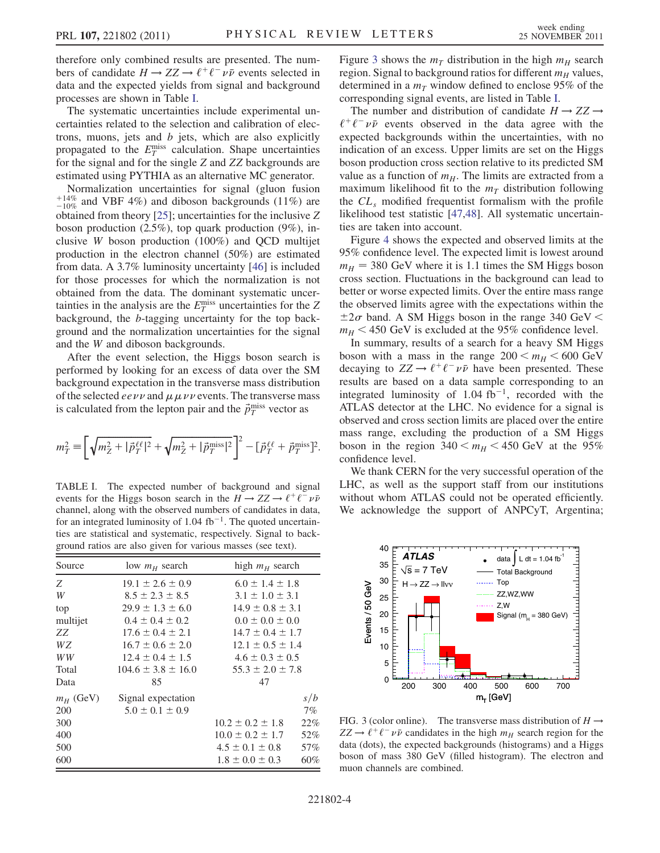therefore only combined results are presented. The numbers of candidate  $H \to ZZ \to \ell^+ \ell^- \nu \bar{\nu}$  events selected in data and the expected yields from signal and background processes are shown in Table [I.](#page-3-0)

The systematic uncertainties include experimental uncertainties related to the selection and calibration of electrons, muons, jets and  $b$  jets, which are also explicitly propagated to the  $E_T^{\text{miss}}$  calculation. Shape uncertainties<br>for the signal and for the single Z and ZZ backgrounds are for the signal and for the single Z and ZZ backgrounds are estimated using PYTHIA as an alternative MC generator.

Normalization uncertainties for signal (gluon fusion  $^{+14\%}_{-10\%}$  and VBF 4%) and diboson backgrounds (11%) are obtained from theory [[25](#page-4-22)]; uncertainties for the inclusive Z boson production  $(2.5\%)$ , top quark production  $(9\%)$ , inclusive W boson production (100%) and QCD multijet production in the electron channel (50%) are estimated from data. A 3.7% luminosity uncertainty [\[46\]](#page-5-8) is included for those processes for which the normalization is not obtained from the data. The dominant systematic uncertainties in the analysis are the  $E_T^{\text{miss}}$  uncertainties for the  $Z$ <br>hackground the *h*-tagging uncertainty for the top hackbackground, the b-tagging uncertainty for the top background and the normalization uncertainties for the signal and the W and diboson backgrounds.

After the event selection, the Higgs boson search is performed by looking for an excess of data over the SM background expectation in the transverse mass distribution of the selected *eevv* and  $\mu \mu \nu \nu$  events. The transverse mass<br>is calculated from the lenton pair and the  $\ddot{\tau}$ <sup>miss</sup> vector as is calculated from the lepton pair and the  $\vec{p}_T^{\text{miss}}$  vector as

$$
m_T^2 \equiv \left[ \sqrt{m_Z^2 + |\vec{p}_T^{\ell\ell}|^2} + \sqrt{m_Z^2 + |\vec{p}_T^{\text{miss}}|^2} \right]^2 - [\vec{p}_T^{\ell\ell} + \vec{p}_T^{\text{miss}}]^2.
$$

<span id="page-3-0"></span>TABLE I. The expected number of background and signal events for the Higgs boson search in the  $H \to ZZ \to \ell^+ \ell^- \nu \bar{\nu}$ channel, along with the observed numbers of candidates in data, for an integrated luminosity of 1.04 fb<sup>-1</sup>. The quoted uncertainties are statistical and systematic, respectively. Signal to background ratios are also given for various masses (see text).

| Source      | low $m_H$ search         | high $m_H$ search      |       |
|-------------|--------------------------|------------------------|-------|
| Z           | $19.1 \pm 2.6 \pm 0.9$   | $6.0 \pm 1.4 \pm 1.8$  |       |
| W           | $8.5 \pm 2.3 \pm 8.5$    | $3.1 \pm 1.0 \pm 3.1$  |       |
| top         | $29.9 \pm 1.3 \pm 6.0$   | $14.9 \pm 0.8 \pm 3.1$ |       |
| multijet    | $0.4 \pm 0.4 \pm 0.2$    | $0.0 \pm 0.0 \pm 0.0$  |       |
| ZZ.         | $17.6 \pm 0.4 \pm 2.1$   | $14.7 \pm 0.4 \pm 1.7$ |       |
| WZ          | $16.7 \pm 0.6 \pm 2.0$   | $12.1 \pm 0.5 \pm 1.4$ |       |
| WW          | $12.4 \pm 0.4 \pm 1.5$   | $4.6 \pm 0.3 \pm 0.5$  |       |
| Total       | $104.6 \pm 3.8 \pm 16.0$ | $55.3 \pm 2.0 \pm 7.8$ |       |
| Data        | 85                       | 47                     |       |
| $m_H$ (GeV) | Signal expectation       |                        | s/b   |
| 200         | $5.0 \pm 0.1 \pm 0.9$    |                        | $7\%$ |
| 300         |                          | $10.2 \pm 0.2 \pm 1.8$ | 22%   |
| 400         |                          | $10.0 \pm 0.2 \pm 1.7$ | 52%   |
| 500         |                          | $4.5 \pm 0.1 \pm 0.8$  | 57%   |
| 600         |                          | $1.8 \pm 0.0 \pm 0.3$  | 60%   |

Figure [3](#page-3-1) shows the  $m<sub>T</sub>$  distribution in the high  $m<sub>H</sub>$  search region. Signal to background ratios for different  $m_H$  values, determined in a  $m<sub>T</sub>$  window defined to enclose 95% of the corresponding signal events, are listed in Table [I.](#page-3-0)

The number and distribution of candidate  $H \rightarrow ZZ \rightarrow$  $\ell^+ \ell^- \nu \bar{\nu}$  events observed in the data agree with the expected backgrounds within the uncertainties, with no indication of an excess. Upper limits are set on the Higgs boson production cross section relative to its predicted SM value as a function of  $m_H$ . The limits are extracted from a maximum likelihood fit to the  $m<sub>T</sub>$  distribution following the  $CL<sub>s</sub>$  modified frequentist formalism with the profile likelihood test statistic [[47](#page-5-9)[,48](#page-5-10)]. All systematic uncertainties are taken into account.

Figure [4](#page-4-31) shows the expected and observed limits at the 95% confidence level. The expected limit is lowest around  $m_H$  = 380 GeV where it is 1.1 times the SM Higgs boson cross section. Fluctuations in the background can lead to better or worse expected limits. Over the entire mass range the observed limits agree with the expectations within the  $\pm 2\sigma$  band. A SM Higgs boson in the range 340 GeV  $\leq$  $m_H < 450$  GeV is excluded at the 95% confidence level.

In summary, results of a search for a heavy SM Higgs boson with a mass in the range  $200 < m_H < 600$  GeV decaying to  $ZZ \rightarrow \ell^+ \ell^- \nu \bar{\nu}$  have been presented. These results are based on a data sample corresponding to an integrated luminosity of 1.04 fb<sup>-1</sup>, recorded with the ATLAS detector at the LHC. No evidence for a signal is observed and cross section limits are placed over the entire mass range, excluding the production of a SM Higgs boson in the region  $340 \le m_H \le 450$  GeV at the 95% confidence level.

We thank CERN for the very successful operation of the LHC, as well as the support staff from our institutions without whom ATLAS could not be operated efficiently. We acknowledge the support of ANPCyT, Argentina;

<span id="page-3-1"></span>

FIG. 3 (color online). The transverse mass distribution of  $H \rightarrow$  $ZZ \rightarrow \ell^+ \ell^- \nu \bar{\nu}$  candidates in the high  $m_H$  search region for the data (dots), the expected backgrounds (histograms) and a Higgs boson of mass 380 GeV (filled histogram). The electron and muon channels are combined.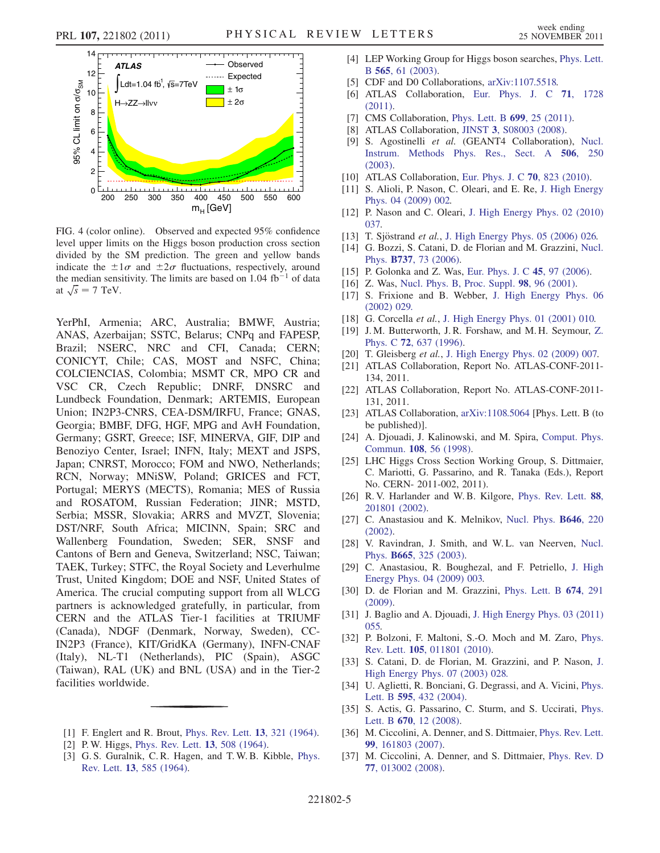<span id="page-4-31"></span>

FIG. 4 (color online). Observed and expected 95% confidence level upper limits on the Higgs boson production cross section divided by the SM prediction. The green and yellow bands indicate the  $\pm 1 \sigma$  and  $\pm 2 \sigma$  fluctuations, respectively, around the median sensitivity. The limits are based on  $1.04$  fb<sup>-1</sup> of data at  $\sqrt{s} = 7$  TeV.

YerPhI, Armenia; ARC, Australia; BMWF, Austria; ANAS, Azerbaijan; SSTC, Belarus; CNPq and FAPESP, Brazil; NSERC, NRC and CFI, Canada; CERN; CONICYT, Chile; CAS, MOST and NSFC, China; COLCIENCIAS, Colombia; MSMT CR, MPO CR and VSC CR, Czech Republic; DNRF, DNSRC and Lundbeck Foundation, Denmark; ARTEMIS, European Union; IN2P3-CNRS, CEA-DSM/IRFU, France; GNAS, Georgia; BMBF, DFG, HGF, MPG and AvH Foundation, Germany; GSRT, Greece; ISF, MINERVA, GIF, DIP and Benoziyo Center, Israel; INFN, Italy; MEXT and JSPS, Japan; CNRST, Morocco; FOM and NWO, Netherlands; RCN, Norway; MNiSW, Poland; GRICES and FCT, Portugal; MERYS (MECTS), Romania; MES of Russia and ROSATOM, Russian Federation; JINR; MSTD, Serbia; MSSR, Slovakia; ARRS and MVZT, Slovenia; DST/NRF, South Africa; MICINN, Spain; SRC and Wallenberg Foundation, Sweden; SER, SNSF and Cantons of Bern and Geneva, Switzerland; NSC, Taiwan; TAEK, Turkey; STFC, the Royal Society and Leverhulme Trust, United Kingdom; DOE and NSF, United States of America. The crucial computing support from all WLCG partners is acknowledged gratefully, in particular, from CERN and the ATLAS Tier-1 facilities at TRIUMF (Canada), NDGF (Denmark, Norway, Sweden), CC-IN2P3 (France), KIT/GridKA (Germany), INFN-CNAF (Italy), NL-T1 (Netherlands), PIC (Spain), ASGC (Taiwan), RAL (UK) and BNL (USA) and in the Tier-2 facilities worldwide.

- <span id="page-4-0"></span>[1] F. Englert and R. Brout, [Phys. Rev. Lett.](http://dx.doi.org/10.1103/PhysRevLett.13.321) 13, 321 (1964).
- <span id="page-4-1"></span>[2] P. W. Higgs, [Phys. Rev. Lett.](http://dx.doi.org/10.1103/PhysRevLett.13.508) **13**, 508 (1964).
- [3] G. S. Guralnik, C. R. Hagen, and T. W. B. Kibble, [Phys.](http://dx.doi.org/10.1103/PhysRevLett.13.585) Rev. Lett. 13[, 585 \(1964\).](http://dx.doi.org/10.1103/PhysRevLett.13.585)
- <span id="page-4-2"></span>[4] LEP Working Group for Higgs boson searches, [Phys. Lett.](http://dx.doi.org/10.1016/S0370-2693(03)00614-2) B 565[, 61 \(2003\).](http://dx.doi.org/10.1016/S0370-2693(03)00614-2)
- <span id="page-4-3"></span>[5] CDF and D0 Collaborations, [arXiv:1107.5518.](http://arXiv.org/abs/1107.5518)
- <span id="page-4-4"></span>[6] ATLAS Collaboration, [Eur. Phys. J. C](http://dx.doi.org/10.1140/epjc/s10052-011-1728-9) 71, 1728 [\(2011\)](http://dx.doi.org/10.1140/epjc/s10052-011-1728-9).
- <span id="page-4-5"></span>[7] CMS Collaboration, [Phys. Lett. B](http://dx.doi.org/10.1016/j.physletb.2011.03.056) 699, 25 (2011).
- <span id="page-4-6"></span>[8] ATLAS Collaboration, JINST 3[, S08003 \(2008\).](http://dx.doi.org/10.1088/1748-0221/3/08/S08003)
- <span id="page-4-7"></span>[9] S. Agostinelli et al. (GEANT4 Collaboration), [Nucl.](http://dx.doi.org/10.1016/S0168-9002(03)01368-8) [Instrum. Methods Phys. Res., Sect. A](http://dx.doi.org/10.1016/S0168-9002(03)01368-8) 506, 250 [\(2003\)](http://dx.doi.org/10.1016/S0168-9002(03)01368-8).
- <span id="page-4-8"></span>[10] ATLAS Collaboration, [Eur. Phys. J. C](http://dx.doi.org/10.1140/epjc/s10052-010-1429-9) 70, 823 (2010).
- <span id="page-4-9"></span>[11] S. Alioli, P. Nason, C. Oleari, and E. Re, [J. High Energy](http://dx.doi.org/10.1088/1126-6708/2009/04/002) [Phys. 04 \(2009\) 002.](http://dx.doi.org/10.1088/1126-6708/2009/04/002)
- <span id="page-4-10"></span>[12] P. Nason and C. Oleari, [J. High Energy Phys. 02 \(2010\)](http://dx.doi.org/10.1007/JHEP02(2010)037) [037.](http://dx.doi.org/10.1007/JHEP02(2010)037)
- <span id="page-4-11"></span>[13] T. Sjöstrand et al., [J. High Energy Phys. 05 \(2006\) 026.](http://dx.doi.org/10.1088/1126-6708/2006/05/026)
- <span id="page-4-12"></span>[14] G. Bozzi, S. Catani, D. de Florian and M. Grazzini, [Nucl.](http://dx.doi.org/10.1016/j.nuclphysb.2005.12.022) Phys. B737[, 73 \(2006\)](http://dx.doi.org/10.1016/j.nuclphysb.2005.12.022).
- <span id="page-4-13"></span>[15] P. Golonka and Z. Was, [Eur. Phys. J. C](http://dx.doi.org/10.1140/epjc/s2005-02396-4) 45, 97 (2006).
- <span id="page-4-14"></span>[16] Z. Was, [Nucl. Phys. B, Proc. Suppl.](http://dx.doi.org/10.1016/S0920-5632(01)01200-2) 98, 96 (2001).
- <span id="page-4-15"></span>[17] S. Frixione and B. Webber, [J. High Energy Phys. 06](http://dx.doi.org/10.1088/1126-6708/2002/06/029) [\(2002\) 029.](http://dx.doi.org/10.1088/1126-6708/2002/06/029)
- <span id="page-4-16"></span>[18] G. Corcella et al., [J. High Energy Phys. 01 \(2001\) 010.](http://dx.doi.org/10.1088/1126-6708/2001/01/010)
- <span id="page-4-17"></span>[19] J. M. Butterworth, J. R. Forshaw, and M. H. Seymour, [Z.](http://dx.doi.org/10.1007/s002880050286) Phys. C 72[, 637 \(1996\)](http://dx.doi.org/10.1007/s002880050286).
- <span id="page-4-18"></span>[20] T. Gleisberg et al., [J. High Energy Phys. 02 \(2009\) 007.](http://dx.doi.org/10.1088/1126-6708/2009/02/007)
- <span id="page-4-19"></span>[21] ATLAS Collaboration, Report No. ATLAS-CONF-2011- 134, 2011.
- [22] ATLAS Collaboration, Report No. ATLAS-CONF-2011- 131, 2011.
- <span id="page-4-20"></span>[23] ATLAS Collaboration, [arXiv:1108.5064](http://arXiv.org/abs/1108.5064) [Phys. Lett. B (to be published)].
- <span id="page-4-21"></span>[24] A. Djouadi, J. Kalinowski, and M. Spira, [Comput. Phys.](http://dx.doi.org/10.1016/S0010-4655(97)00123-9) Commun. 108[, 56 \(1998\).](http://dx.doi.org/10.1016/S0010-4655(97)00123-9)
- <span id="page-4-22"></span>[25] LHC Higgs Cross Section Working Group, S. Dittmaier, C. Mariotti, G. Passarino, and R. Tanaka (Eds.), Report No. CERN- 2011-002, 2011).
- <span id="page-4-23"></span>[26] R.V. Harlander and W.B. Kilgore, [Phys. Rev. Lett.](http://dx.doi.org/10.1103/PhysRevLett.88.201801) 88, [201801 \(2002\).](http://dx.doi.org/10.1103/PhysRevLett.88.201801)
- [27] C. Anastasiou and K. Melnikov, [Nucl. Phys.](http://dx.doi.org/10.1016/S0550-3213(02)00837-4) **B646**, 220 [\(2002\)](http://dx.doi.org/10.1016/S0550-3213(02)00837-4).
- [28] V. Ravindran, J. Smith, and W. L. van Neerven, [Nucl.](http://dx.doi.org/10.1016/S0550-3213(03)00457-7) Phys. B665[, 325 \(2003\).](http://dx.doi.org/10.1016/S0550-3213(03)00457-7)
- [29] C. Anastasiou, R. Boughezal, and F. Petriello, [J. High](http://dx.doi.org/10.1088/1126-6708/2009/04/003) [Energy Phys. 04 \(2009\) 003.](http://dx.doi.org/10.1088/1126-6708/2009/04/003)
- [30] D. de Florian and M. Grazzini, [Phys. Lett. B](http://dx.doi.org/10.1016/j.physletb.2009.03.033) 674, 291 [\(2009\)](http://dx.doi.org/10.1016/j.physletb.2009.03.033).
- <span id="page-4-24"></span>[31] J. Baglio and A. Djouadi, [J. High Energy Phys. 03 \(2011\)](http://dx.doi.org/10.1007/JHEP03(2011)055) [055.](http://dx.doi.org/10.1007/JHEP03(2011)055)
- <span id="page-4-25"></span>[32] P. Bolzoni, F. Maltoni, S.-O. Moch and M. Zaro, [Phys.](http://dx.doi.org/10.1103/PhysRevLett.105.011801) Rev. Lett. 105[, 011801 \(2010\).](http://dx.doi.org/10.1103/PhysRevLett.105.011801)
- <span id="page-4-26"></span>[33] S. Catani, D. de Florian, M. Grazzini, and P. Nason, [J.](http://dx.doi.org/10.1088/1126-6708/2003/07/028) [High Energy Phys. 07 \(2003\) 028.](http://dx.doi.org/10.1088/1126-6708/2003/07/028)
- <span id="page-4-27"></span>[34] U. Aglietti, R. Bonciani, G. Degrassi, and A. Vicini, [Phys.](http://dx.doi.org/10.1016/j.physletb.2004.06.063) Lett. B 595[, 432 \(2004\)](http://dx.doi.org/10.1016/j.physletb.2004.06.063).
- <span id="page-4-28"></span>[35] S. Actis, G. Passarino, C. Sturm, and S. Uccirati, [Phys.](http://dx.doi.org/10.1016/j.physletb.2008.10.018) Lett. B **670**[, 12 \(2008\)](http://dx.doi.org/10.1016/j.physletb.2008.10.018).
- <span id="page-4-29"></span>[36] M. Ciccolini, A. Denner, and S. Dittmaier, [Phys. Rev. Lett.](http://dx.doi.org/10.1103/PhysRevLett.99.161803) 99[, 161803 \(2007\)](http://dx.doi.org/10.1103/PhysRevLett.99.161803).
- <span id="page-4-30"></span>[37] M. Ciccolini, A. Denner, and S. Dittmaier, [Phys. Rev. D](http://dx.doi.org/10.1103/PhysRevD.77.013002). 77[, 013002 \(2008\)](http://dx.doi.org/10.1103/PhysRevD.77.013002).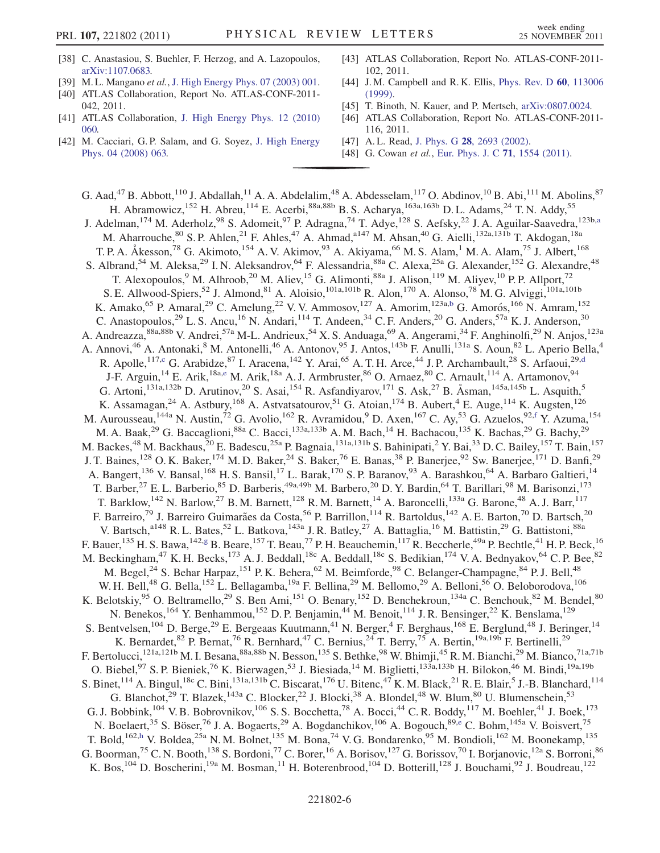- <span id="page-5-0"></span>[38] C. Anastasiou, S. Buehler, F. Herzog, and A. Lazopoulos, [arXiv:1107.0683.](http://arXiv.org/abs/1107.0683)
- <span id="page-5-1"></span>[39] M. L. Mangano et al., [J. High Energy Phys. 07 \(2003\) 001.](http://dx.doi.org/10.1088/1126-6708/2003/07/001)
- <span id="page-5-2"></span>[40] ATLAS Collaboration, Report No. ATLAS-CONF-2011- 042, 2011.
- <span id="page-5-3"></span>[41] ATLAS Collaboration, [J. High Energy Phys. 12 \(2010\)](http://dx.doi.org/10.1007/JHEP12(2010)060) [060.](http://dx.doi.org/10.1007/JHEP12(2010)060)
- <span id="page-5-4"></span>[42] M. Cacciari, G.P. Salam, and G. Soyez, [J. High Energy](http://dx.doi.org/10.1088/1126-6708/2008/04/063) [Phys. 04 \(2008\) 063.](http://dx.doi.org/10.1088/1126-6708/2008/04/063)
- <span id="page-5-5"></span>[43] ATLAS Collaboration, Report No. ATLAS-CONF-2011- 102, 2011.
- <span id="page-5-6"></span>[44] J.M. Campbell and R.K. Ellis, *[Phys. Rev. D](http://dx.doi.org/10.1103/PhysRevD.60.113006)* 60, 113006 [\(1999\)](http://dx.doi.org/10.1103/PhysRevD.60.113006).
- <span id="page-5-7"></span>[45] T. Binoth, N. Kauer, and P. Mertsch, [arXiv:0807.0024.](http://arXiv.org/abs/0807.0024)
- <span id="page-5-8"></span>[46] ATLAS Collaboration, Report No. ATLAS-CONF-2011- 116, 2011.
- <span id="page-5-9"></span>[47] A.L. Read, J. Phys. G 28[, 2693 \(2002\)](http://dx.doi.org/10.1088/0954-3899/28/10/313).
- <span id="page-5-10"></span>[48] G. Cowan et al., [Eur. Phys. J. C](http://dx.doi.org/10.1140/epjc/s10052-011-1554-0) 71, 1554 (2011).

<span id="page-5-17"></span><span id="page-5-16"></span><span id="page-5-15"></span><span id="page-5-14"></span><span id="page-5-13"></span><span id="page-5-12"></span><span id="page-5-11"></span>G. Aad,<sup>47</sup> B. Abbott,<sup>110</sup> J. Abdallah,<sup>11</sup> A. A. Abdelalim,<sup>48</sup> A. Abdesselam,<sup>117</sup> O. Abdinov,<sup>10</sup> B. Abi,<sup>111</sup> M. Abolins,<sup>87</sup> H. Abramowicz,<sup>152</sup> H. Abreu,<sup>114</sup> E. Acerbi,<sup>88a,88b</sup> B. S. Acharya,<sup>163a,163b</sup> D. L. Adams,<sup>24</sup> T. N. Addy,<sup>55</sup> J. Adelm[a](#page-17-0)n,<sup>174</sup> M. Aderholz,<sup>98</sup> S. Adomeit,<sup>97</sup> P. Adragna,<sup>74</sup> T. Adye,<sup>128</sup> S. Aefsky,<sup>22</sup> J. A. Aguilar-Saavedra,<sup>123b,a</sup> M. Aharrouche, <sup>80</sup> S. P. Ahlen, <sup>21</sup> F. Ahles, <sup>47</sup> A. Ahmad, <sup>a147</sup> M. Ahsan, <sup>40</sup> G. Aielli, <sup>132a, 131b</sup> T. Akdogan, <sup>18a</sup> T. P. A. Åkesson,<sup>78</sup> G. Akimoto,<sup>154</sup> A. V. Akimov,<sup>93</sup> A. Akiyama,<sup>66</sup> M. S. Alam,<sup>1</sup> M. A. Alam,<sup>75</sup> J. Albert,<sup>168</sup> S. Albrand,<sup>54</sup> M. Aleksa,<sup>29</sup> I. N. Aleksandrov,<sup>64</sup> F. Alessandria,<sup>88a</sup> C. Alexa,<sup>25a</sup> G. Alexander,<sup>152</sup> G. Alexandre,<sup>48</sup> T. Alexopoulos, <sup>9</sup> M. Alhroob, <sup>20</sup> M. Aliev, <sup>15</sup> G. Alimonti, <sup>88a</sup> J. Alison, <sup>119</sup> M. Aliyev, <sup>10</sup> P. P. Allport, <sup>72</sup> S. E. Allwood-Spiers,<sup>52</sup> J. Almond,<sup>81</sup> A. Aloisio,<sup>101a,101b</sup> R. Alon,<sup>170</sup> A. Alonso,<sup>78</sup> M. G. Alviggi,<sup>101a,101b</sup> K. Amako, <sup>65</sup> P. Amaral, <sup>29</sup> C. Amelung, <sup>22</sup> V. V. Ammosov, <sup>127</sup> A. Amorim, <sup>123a[,b](#page-17-1)</sup> G. Amorós, <sup>166</sup> N. Amram, <sup>152</sup> C. Anastopoulos,<sup>29</sup> L. S. Ancu,<sup>16</sup> N. Andari,<sup>114</sup> T. Andeen,<sup>34</sup> C. F. Anders,<sup>20</sup> G. Anders,<sup>57a</sup> K. J. Anderson,<sup>30</sup> A. Andreazza,<sup>88a,88b</sup> V. Andrei,<sup>57a</sup> M-L. Andrieux,<sup>54</sup> X. S. Anduaga,<sup>69</sup> A. Angerami,<sup>34</sup> F. Anghinolfi,<sup>29</sup> N. Anjos,<sup>123a</sup> A. Annovi,<sup>46</sup> A. Antonaki,<sup>8</sup> M. Antonelli,<sup>46</sup> A. Antonov,<sup>95</sup> J. Antos,<sup>143b</sup> F. Anulli,<sup>131a</sup> S. Aoun,<sup>82</sup> L. Aperio Bella,<sup>4</sup> R. Apolle,<sup>117[,c](#page-17-2)</sup> G. Arabidze,<sup>87</sup> I. Aracena,<sup>142</sup> Y. Arai,<sup>65</sup> A. T. H. Arce,<sup>44</sup> J. P. Archambault,<sup>28</sup> S. Arfaoui,<sup>29[,d](#page-17-3)</sup> J-F. Arguin,<sup>14</sup> E. Arik,<sup>18a[,e](#page-17-4)</sup> M. Arik,<sup>18a</sup> A. J. Armbruster,<sup>86</sup> O. Arnaez,<sup>80</sup> C. Arnault,<sup>114</sup> A. Artamonov,<sup>94</sup> G. Artoni,<sup>131a,132b</sup> D. Arutinov,<sup>20</sup> S. Asai,<sup>154</sup> R. Asfandiyarov,<sup>171</sup> S. Ask,<sup>27</sup> B. Åsman,<sup>145a,145b</sup> L. Asquith,<sup>5</sup> K. Assamagan,<sup>24</sup> A. Astbury,<sup>168</sup> A. Astvatsatourov,<sup>51</sup> G. Atoian,<sup>174</sup> B. Aubert,<sup>4</sup> E. Auge,<sup>114</sup> K. Augsten,<sup>126</sup> M. Aurousseau,<sup>144a</sup> N. Austin,<sup>72</sup> G. Avolio,<sup>162</sup> R. Avramidou,<sup>9</sup> D. Axen,<sup>167</sup> C. Ay,<sup>53</sup> G. Azuelos,<sup>92,[f](#page-17-5)</sup> Y. Azuma,<sup>154</sup> M. A. Baak,<sup>29</sup> G. Baccaglioni,<sup>88a</sup> C. Bacci,<sup>133a,133b</sup> A. M. Bach,<sup>14</sup> H. Bachacou,<sup>135</sup> K. Bachas,<sup>29</sup> G. Bachy,<sup>29</sup> M. Backes,<sup>48</sup> M. Backhaus,<sup>20</sup> E. Badescu,<sup>25a</sup> P. Bagnaia,<sup>131a,131b</sup> S. Bahinipati,<sup>2</sup> Y. Bai,<sup>33</sup> D. C. Bailey,<sup>157</sup> T. Bain,<sup>157</sup> J. T. Baines,<sup>128</sup> O. K. Baker,<sup>174</sup> M. D. Baker,<sup>24</sup> S. Baker,<sup>76</sup> E. Banas,<sup>38</sup> P. Banerjee,<sup>92</sup> Sw. Banerjee,<sup>171</sup> D. Banfi,<sup>29</sup> A. Bangert,<sup>136</sup> V. Bansal,<sup>168</sup> H. S. Bansil,<sup>17</sup> L. Barak,<sup>170</sup> S. P. Baranov,<sup>93</sup> A. Barashkou,<sup>64</sup> A. Barbaro Galtieri,<sup>14</sup> T. Barber,<sup>27</sup> E. L. Barberio,<sup>85</sup> D. Barberis,<sup>49a,49b</sup> M. Barbero,<sup>20</sup> D. Y. Bardin,<sup>64</sup> T. Barillari,<sup>98</sup> M. Barisonzi,<sup>173</sup> T. Barklow,  $^{142}$  N. Barlow,  $^{27}$  B. M. Barnett,  $^{128}$  R. M. Barnett,  $^{14}$  A. Baroncelli,  $^{133a}$  G. Barone,  $^{48}$  A. J. Barr,  $^{117}$ F. Barreiro,<sup>79</sup> J. Barreiro Guimarães da Costa,<sup>56</sup> P. Barrillon,<sup>114</sup> R. Bartoldus,<sup>142</sup> A. E. Barton,<sup>70</sup> D. Bartsch,<sup>20</sup> V. Bartsch,<sup>a148</sup> R. L. Bates,<sup>52</sup> L. Batkova,<sup>143a</sup> J. R. Batley,<sup>27</sup> A. Battaglia,<sup>16</sup> M. Battistin,<sup>29</sup> G. Battistoni,<sup>88a</sup> F. Bauer,  $^{135}$  H. S. Bawa,  $^{142,g}$  $^{142,g}$  $^{142,g}$  B. Beare,  $^{157}$  T. Beau,  $^{77}$  P. H. Beauchemin,  $^{117}$  R. Beccherle,  $^{49a}$  P. Bechtle,  $^{41}$  H. P. Beck,  $^{16}$ M. Beckingham,<sup>47</sup> K. H. Becks,<sup>173</sup> A. J. Beddall,<sup>18c</sup> A. Beddall,<sup>18c</sup> S. Bedikian,<sup>174</sup> V. A. Bednyakov,<sup>64</sup> C. P. Bee,<sup>82</sup> M. Begel,<sup>24</sup> S. Behar Harpaz,<sup>151</sup> P. K. Behera,<sup>62</sup> M. Beimforde,<sup>98</sup> C. Belanger-Champagne,<sup>84</sup> P. J. Bell,<sup>48</sup> W. H. Bell,<sup>48</sup> G. Bella,<sup>152</sup> L. Bellagamba,<sup>19a</sup> F. Bellina,<sup>29</sup> M. Bellomo,<sup>29</sup> A. Belloni,<sup>56</sup> O. Beloborodova,<sup>106</sup> K. Belotskiy,<sup>95</sup> O. Beltramello,<sup>29</sup> S. Ben Ami,<sup>151</sup> O. Benary,<sup>152</sup> D. Benchekroun,<sup>134a</sup> C. Benchouk,<sup>82</sup> M. Bendel,<sup>80</sup> N. Benekos, <sup>164</sup> Y. Benhammou, <sup>152</sup> D. P. Benjamin, <sup>44</sup> M. Benoit, <sup>114</sup> J. R. Bensinger, <sup>22</sup> K. Benslama, <sup>129</sup> S. Bentvelsen,<sup>104</sup> D. Berge,<sup>29</sup> E. Bergeaas Kuutmann,<sup>41</sup> N. Berger,<sup>4</sup> F. Berghaus,<sup>168</sup> E. Berglund,<sup>48</sup> J. Beringer,<sup>14</sup> K. Bernardet,  $82$  P. Bernat,  $76$  R. Bernhard,  $47$  C. Bernius,  $24$  T. Berry,  $75$  A. Bertin,  $19a,19b$  F. Bertinelli,  $29$ F. Bertolucci,<sup>121a,121b</sup> M. I. Besana,<sup>88a,88b</sup> N. Besson,<sup>135</sup> S. Bethke,<sup>98</sup> W. Bhimji,<sup>45</sup> R. M. Bianchi,<sup>29</sup> M. Bianco,<sup>71a,71b</sup> O. Biebel, <sup>97</sup> S. P. Bieniek, <sup>76</sup> K. Bierwagen, <sup>53</sup> J. Biesiada, <sup>14</sup> M. Biglietti, <sup>133a,133b</sup> H. Bilokon, <sup>46</sup> M. Bindi, <sup>19a,19b</sup> S. Binet, <sup>114</sup> A. Bingul, <sup>18c</sup> C. Bini, <sup>131a, 131b</sup> C. Biscarat, <sup>176</sup> U. Bitenc, <sup>47</sup> K. M. Black, <sup>21</sup> R. E. Blair, <sup>5</sup> J.-B. Blanchard, <sup>114</sup> G. Blanchot,<sup>29</sup> T. Blazek,<sup>143a</sup> C. Blocker,<sup>22</sup> J. Blocki,<sup>38</sup> A. Blondel,<sup>48</sup> W. Blum,<sup>80</sup> U. Blumenschein,<sup>53</sup> G. J. Bobbink,<sup>104</sup> V. B. Bobrovnikov,<sup>106</sup> S. S. Bocchetta,<sup>78</sup> A. Bocci,<sup>44</sup> C. R. Boddy,<sup>117</sup> M. Boehler,<sup>41</sup> J. Boek,<sup>173</sup> N. Boelaert,<sup>35</sup> S. Böser,<sup>76</sup> J. A. Bogaerts,<sup>29</sup> A. Bogdanchikov,<sup>106</sup> A. Bogouch,<sup>89[,e](#page-17-4)</sup> C. Bohm,<sup>145a</sup> V. Boisvert,<sup>75</sup> T. Bold,<sup>162[,h](#page-17-7)</sup> V. Boldea,<sup>25a</sup> N. M. Bolnet,<sup>135</sup> M. Bona,<sup>74</sup> V. G. Bondarenko,<sup>95</sup> M. Bondioli,<sup>162</sup> M. Boonekamp,<sup>135</sup> G. Boorman,<sup>75</sup> C. N. Booth,<sup>138</sup> S. Bordoni,<sup>77</sup> C. Borer,<sup>16</sup> A. Borisov,<sup>127</sup> G. Borissov,<sup>70</sup> I. Borjanovic,<sup>12a</sup> S. Borroni,<sup>86</sup> K. Bos,<sup>104</sup> D. Boscherini,<sup>19a</sup> M. Bosman,<sup>11</sup> H. Boterenbrood,<sup>104</sup> D. Botterill,<sup>128</sup> J. Bouchami,<sup>92</sup> J. Boudreau,<sup>122</sup>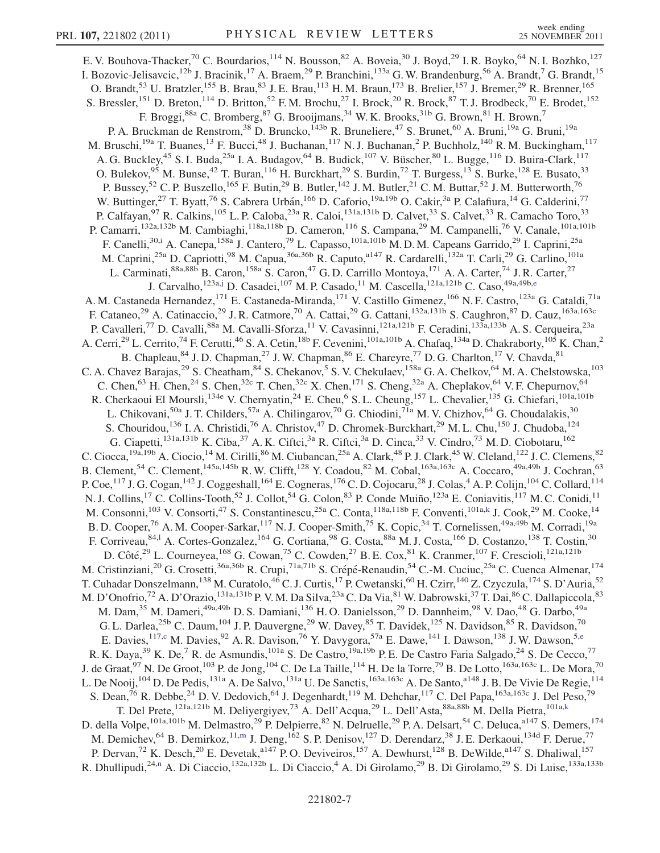<span id="page-6-5"></span><span id="page-6-4"></span><span id="page-6-3"></span><span id="page-6-2"></span><span id="page-6-1"></span><span id="page-6-0"></span>E. V. Bouhova-Thacker,<sup>70</sup> C. Bourdarios,<sup>114</sup> N. Bousson,<sup>82</sup> A. Boveia,<sup>30</sup> J. Boyd,<sup>29</sup> I.R. Boyko,<sup>64</sup> N. I. Bozhko,<sup>127</sup> I. Bozovic-Jelisavcic,<sup>12b</sup> J. Bracinik,<sup>17</sup> A. Braem,<sup>29</sup> P. Branchini,<sup>133a</sup> G. W. Brandenburg,<sup>56</sup> A. Brandt,<sup>7</sup> G. Brandt,<sup>15</sup> O. Brandt,<sup>53</sup> U. Bratzler,<sup>155</sup> B. Brau,<sup>83</sup> J. E. Brau,<sup>113</sup> H. M. Braun,<sup>173</sup> B. Brelier,<sup>157</sup> J. Bremer,<sup>29</sup> R. Brenner,<sup>165</sup> S. Bressler,<sup>151</sup> D. Breton,<sup>114</sup> D. Britton,<sup>52</sup> F.M. Brochu,<sup>27</sup> I. Brock,<sup>20</sup> R. Brock,<sup>87</sup> T.J. Brodbeck,<sup>70</sup> E. Brodet,<sup>152</sup> F. Broggi,<sup>88a</sup> C. Bromberg,<sup>87</sup> G. Brooijmans,<sup>34</sup> W. K. Brooks,<sup>31b</sup> G. Brown,<sup>81</sup> H. Brown,<sup>7</sup> P. A. Bruckman de Renstrom,<sup>38</sup> D. Bruncko,<sup>143b</sup> R. Bruneliere,<sup>47</sup> S. Brunet,<sup>60</sup> A. Bruni,<sup>19a</sup> G. Bruni,<sup>19a</sup> M. Bruschi,<sup>19a</sup> T. Buanes,<sup>13</sup> F. Bucci,<sup>48</sup> J. Buchanan,<sup>117</sup> N. J. Buchanan,<sup>2</sup> P. Buchholz,<sup>140</sup> R. M. Buckingham,<sup>117</sup> A. G. Buckley,<sup>45</sup> S. I. Buda,<sup>25a</sup> I. A. Budagov,<sup>64</sup> B. Budick,<sup>107</sup> V. Büscher,<sup>80</sup> L. Bugge,<sup>116</sup> D. Buira-Clark,<sup>117</sup> O. Bulekov, <sup>95</sup> M. Bunse, <sup>42</sup> T. Buran, <sup>116</sup> H. Burckhart, <sup>29</sup> S. Burdin, <sup>72</sup> T. Burgess, <sup>13</sup> S. Burke, <sup>128</sup> E. Busato, <sup>33</sup> P. Bussey,<sup>52</sup> C. P. Buszello,<sup>165</sup> F. Butin,<sup>29</sup> B. Butler,<sup>142</sup> J. M. Butler,<sup>21</sup> C. M. Buttar,<sup>52</sup> J. M. Butterworth,<sup>76</sup> W. Buttinger,<sup>27</sup> T. Byatt,<sup>76</sup> S. Cabrera Urbán,<sup>166</sup> D. Caforio,<sup>19a,19b</sup> O. Cakir,<sup>3a</sup> P. Calafiura,<sup>14</sup> G. Calderini,<sup>77</sup> P. Calfayan,<sup>97</sup> R. Calkins,<sup>105</sup> L. P. Caloba,<sup>23a</sup> R. Caloi,<sup>131a,131b</sup> D. Calvet,<sup>33</sup> S. Calvet,<sup>33</sup> R. Camacho Toro,<sup>33</sup> P. Camarri,<sup>132a,132b</sup> M. Cambiaghi,<sup>118a,118b</sup> D. Cameron,<sup>116</sup> S. Campana,<sup>29</sup> M. Campanelli,<sup>76</sup> V. Canale,<sup>101a,101b</sup> F. Canell[i](#page-17-8),<sup>30,i</sup> A. Canepa,<sup>158a</sup> J. Cantero,<sup>79</sup> L. Capasso,<sup>101a,101b</sup> M.D.M. Capeans Garrido,<sup>29</sup> I. Caprini,<sup>25a</sup> M. Caprini,<sup>25a</sup> D. Capriotti,<sup>98</sup> M. Capua,<sup>36a,36b</sup> R. Caputo,<sup>a147</sup> R. Cardarelli,<sup>132a</sup> T. Carli,<sup>29</sup> G. Carlino,<sup>101a</sup> L. Carminati,<sup>88a,88b</sup> B. Caron,<sup>158a</sup> S. Caron,<sup>47</sup> G.D. Carrillo Montoya,<sup>171</sup> A. A. Carter,<sup>74</sup> J. R. Carter,<sup>27</sup> J. Carvalho, <sup>123a[,j](#page-17-9)</sup> D. Casad[e](#page-17-4)i, <sup>107</sup> M. P. Casado, <sup>11</sup> M. Cascella, <sup>121a, 121b</sup> C. Caso, <sup>49a, 49b, e</sup> A. M. Castaneda Hernandez, <sup>171</sup> E. Castaneda-Miranda, <sup>171</sup> V. Castillo Gimenez, <sup>166</sup> N. F. Castro, <sup>123a</sup> G. Cataldi, <sup>71a</sup> F. Cataneo,<sup>29</sup> A. Catinaccio,<sup>29</sup> J. R. Catmore,<sup>70</sup> A. Cattai,<sup>29</sup> G. Cattani,<sup>132a,131b</sup> S. Caughron,<sup>87</sup> D. Cauz,<sup>163a,163c</sup> P. Cavalleri,<sup>77</sup> D. Cavalli,<sup>88a</sup> M. Cavalli-Sforza,<sup>11</sup> V. Cavasinni,<sup>121a,121b</sup> F. Ceradini,<sup>133a,133b</sup> A. S. Cerqueira,<sup>23a</sup> A. Cerri,<sup>29</sup> L. Cerrito,<sup>74</sup> F. Cerutti,<sup>46</sup> S. A. Cetin,<sup>18b</sup> F. Cevenini,<sup>101a,101b</sup> A. Chafaq,<sup>134a</sup> D. Chakraborty,<sup>105</sup> K. Chan,<sup>2</sup> B. Chapleau, <sup>84</sup> J.D. Chapman, <sup>27</sup> J.W. Chapman, <sup>86</sup> E. Chareyre, <sup>77</sup> D.G. Charlton, <sup>17</sup> V. Chavda, <sup>81</sup> C. A. Chavez Barajas,<sup>29</sup> S. Cheatham,<sup>84</sup> S. Chekanov,<sup>5</sup> S. V. Chekulaev,<sup>158a</sup> G. A. Chelkov,<sup>64</sup> M. A. Chelstowska,<sup>103</sup> C. Chen,<sup>63</sup> H. Chen,<sup>24</sup> S. Chen,<sup>32c</sup> T. Chen,<sup>32c</sup> X. Chen,<sup>171</sup> S. Cheng,<sup>32a</sup> A. Cheplakov,<sup>64</sup> V. F. Chepurnov,<sup>64</sup> R. Cherkaoui El Moursli,<sup>134e</sup> V. Chernyatin,<sup>24</sup> E. Cheu,<sup>6</sup> S. L. Cheung,<sup>157</sup> L. Chevalier,<sup>135</sup> G. Chiefari,<sup>101a,101b</sup> L. Chikovani,<sup>50a</sup> J. T. Childers,<sup>57a</sup> A. Chilingarov,<sup>70</sup> G. Chiodini,<sup>71a</sup> M. V. Chizhov,<sup>64</sup> G. Choudalakis,<sup>30</sup> S. Chouridou,<sup>136</sup> I. A. Christidi,<sup>76</sup> A. Christov,<sup>47</sup> D. Chromek-Burckhart,<sup>29</sup> M. L. Chu,<sup>150</sup> J. Chudoba,<sup>124</sup> G. Ciapetti,<sup>131a,131b</sup> K. Ciba,<sup>37</sup> A. K. Ciftci,<sup>3a</sup> R. Ciftci,<sup>3a</sup> D. Cinca,<sup>33</sup> V. Cindro,<sup>73</sup> M. D. Ciobotaru,<sup>162</sup> C. Ciocca,<sup>19a,19b</sup> A. Ciocio,<sup>14</sup> M. Cirilli,<sup>86</sup> M. Ciubancan,<sup>25a</sup> A. Clark,<sup>48</sup> P. J. Clark,<sup>45</sup> W. Cleland,<sup>122</sup> J. C. Clemens,<sup>82</sup> B. Clement,<sup>54</sup> C. Clement,<sup>145a,145b</sup> R. W. Clifft,<sup>128</sup> Y. Coadou,<sup>82</sup> M. Cobal,<sup>163a,163c</sup> A. Coccaro,<sup>49a,49b</sup> J. Cochran,<sup>63</sup> P. Coe,<sup>117</sup> J. G. Cogan,<sup>142</sup> J. Coggeshall,<sup>164</sup> E. Cogneras,<sup>176</sup> C. D. Cojocaru,<sup>28</sup> J. Colas,<sup>4</sup> A. P. Colijn,<sup>104</sup> C. Collard,<sup>114</sup> N. J. Collins,<sup>17</sup> C. Collins-Tooth,<sup>52</sup> J. Collot,<sup>54</sup> G. Colon,<sup>83</sup> P. Conde Muiño,<sup>123a</sup> E. Coniavitis,<sup>117</sup> M. C. Conidi,<sup>11</sup> M. Consonni,<sup>103</sup> V. Consorti,<sup>47</sup> S. Constantinescu,<sup>25a</sup> C. Conta,<sup>118a,118b</sup> F. Conventi,<sup>101a,[k](#page-17-10)</sup> J. Cook,<sup>29</sup> M. Cooke,<sup>14</sup> B. D. Cooper,<sup>76</sup> A. M. Cooper-Sarkar,<sup>117</sup> N. J. Cooper-Smith,<sup>75</sup> K. Copic,<sup>34</sup> T. Cornelissen,<sup>49a,49b</sup> M. Corradi,<sup>19a</sup> F. Corriveau, <sup>84,1</sup> A. Cortes-Gonzalez, <sup>164</sup> G. Cortiana, <sup>98</sup> G. Costa, <sup>88a</sup> M. J. Costa, <sup>166</sup> D. Costanzo, <sup>138</sup> T. Costin, <sup>30</sup> D. Côté,<sup>29</sup> L. Courneyea,<sup>168</sup> G. Cowan,<sup>75</sup> C. Cowden,<sup>27</sup> B. E. Cox,<sup>81</sup> K. Cranmer,<sup>107</sup> F. Crescioli,<sup>121a,121b</sup> M. Cristinziani,<sup>20</sup> G. Crosetti,<sup>36a,36b</sup> R. Crupi,<sup>71a,71b</sup> S. Crépé-Renaudin,<sup>54</sup> C.-M. Cuciuc,<sup>25a</sup> C. Cuenca Almenar,<sup>174</sup> T. Cuhadar Donszelmann,<sup>138</sup> M. Curatolo,<sup>46</sup> C. J. Curtis,<sup>17</sup> P. Cwetanski,<sup>60</sup> H. Czirr,<sup>140</sup> Z. Czyczula,<sup>174</sup> S. D'Auria,<sup>52</sup> M. D'Onofrio,<sup>72</sup> A. D'Orazio,<sup>131a,131b</sup> P. V. M. Da Silva,<sup>23a</sup> C. Da Via,<sup>81</sup> W. Dabrowski,<sup>37</sup> T. Dai,<sup>86</sup> C. Dallapiccola,<sup>83</sup> M. Dam,<sup>35</sup> M. Dameri,<sup>49a,49b</sup> D. S. Damiani,<sup>136</sup> H. O. Danielsson,<sup>29</sup> D. Dannheim,<sup>98</sup> V. Dao,<sup>48</sup> G. Darbo,<sup>49a</sup> G. L. Darlea,<sup>25b</sup> C. Daum,<sup>104</sup> J. P. Dauvergne,<sup>29</sup> W. Davey,<sup>85</sup> T. Davidek,<sup>125</sup> N. Davidson,<sup>85</sup> R. Davidson,<sup>70</sup> E. Davies, <sup>117,[c](#page-17-2)</sup> M. Davies, <sup>92</sup> A. R. Davison, <sup>76</sup> Y. Davygora, <sup>57a</sup> E. Dawe, <sup>141</sup> I. Dawson, <sup>138</sup> J. W. Dawson, <sup>5[,e](#page-17-4)</sup> R. K. Daya,  $^{39}$  K. De,  $^7$  R. de Asmundis,  $^{101a}$  S. De Castro,  $^{19a,19b}$  P. E. De Castro Faria Salgado,  $^{24}$  S. De Cecco,  $^{77}$ J. de Graat, $^{97}$  N. De Groot, $^{103}$  P. de Jong, $^{104}$  C. De La Taille, $^{114}$  H. De la Torre, $^{79}$  B. De Lotto, $^{163$ a,163c L. De Mora, $^{70}$ L. De Nooij, <sup>104</sup> D. De Pedis, <sup>131a</sup> A. De Salvo, <sup>131a</sup> U. De Sanctis, <sup>163a,163c</sup> A. De Santo, <sup>1148</sup> J. B. De Vivie De Regie, <sup>114</sup> S. Dean,<sup>76</sup> R. Debbe,<sup>24</sup> D. V. Dedovich,<sup>64</sup> J. Degenhardt,<sup>119</sup> M. Dehchar,<sup>117</sup> C. Del Papa,<sup>163a,163c</sup> J. Del Peso,<sup>79</sup> T. Del Prete,<sup>121a,121b</sup> M. Deliyergiyev,<sup>73</sup> A. Dell'Acqua,<sup>29</sup> L. Dell'Asta,<sup>88a,88b</sup> M. Della Pietra,<sup>101a,[k](#page-17-10)</sup> D. della Volpe, <sup>101a,101b</sup> M. Delmastro,<sup>29</sup> P. Delpierre,<sup>82</sup> N. Delruelle,<sup>29</sup> P. A. Delsart,<sup>54</sup> C. Deluca,<sup>a147</sup> S. Demers,<sup>174</sup> M. Demichev, <sup>64</sup> B. Demirkoz, 1, m J. Deng, <sup>162</sup> S. P. Denisov, <sup>127</sup> D. Derendarz, <sup>38</sup> J. E. Derkaoui, <sup>134d</sup> F. Derue, <sup>77</sup> P. Dervan,<sup>72</sup> K. Desch,<sup>20</sup> E. Devetak,<sup>a147</sup> P.O. Deviveiros,<sup>157</sup> A. Dewhurst,<sup>128</sup> B. DeWilde,<sup>a147</sup> S. Dhaliwal,<sup>157</sup> R. Dhullipudi,<sup>24[,n](#page-17-13)</sup> A. Di Ciaccio,<sup>132a,132b</sup> L. Di Ciaccio,<sup>4</sup> A. Di Girolamo,<sup>29</sup> B. Di Girolamo,<sup>29</sup> S. Di Luise,<sup>133a,133b</sup>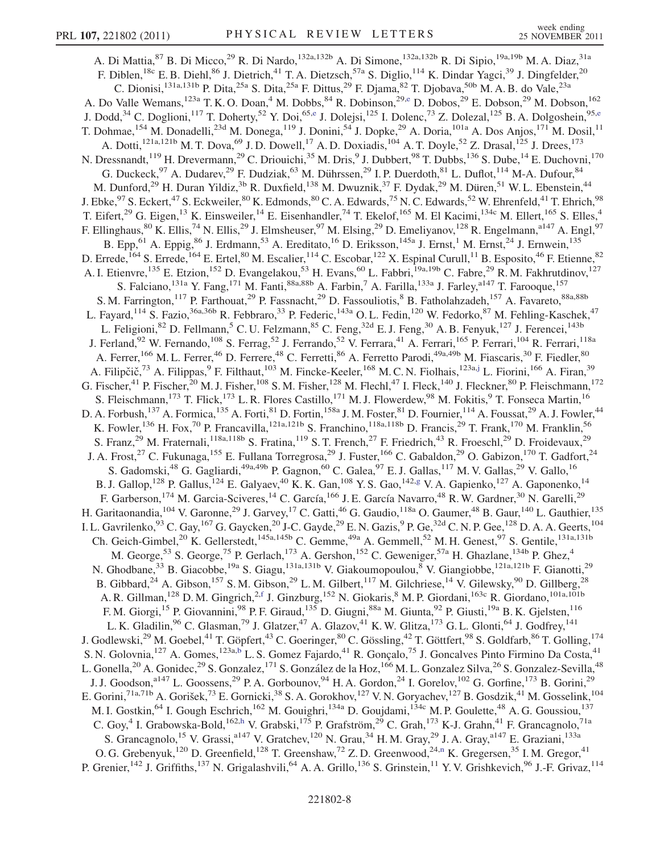A. Di Mattia,<sup>87</sup> B. Di Micco,<sup>29</sup> R. Di Nardo,<sup>132a,132b</sup> A. Di Simone,<sup>132a,132b</sup> R. Di Sipio,<sup>19a,19b</sup> M. A. Diaz,<sup>31a</sup> F. Diblen,<sup>18c</sup> E. B. Diehl,<sup>86</sup> J. Dietrich,<sup>41</sup> T. A. Dietzsch,<sup>57a</sup> S. Diglio,<sup>114</sup> K. Dindar Yagci,<sup>39</sup> J. Dingfelder,<sup>20</sup> C. Dionisi,<sup>131a,131b</sup> P. Dita,<sup>25a</sup> S. Dita,<sup>25a</sup> F. Dittus,<sup>29</sup> F. Djama,<sup>82</sup> T. Djobava,<sup>50b</sup> M. A. B. do Vale,<sup>23a</sup> A. Do Valle Wemans,<sup>123a</sup> T. K. O. Doan,<sup>4</sup> M. Dobbs,<sup>84</sup> R. Dobinson,<sup>29[,e](#page-17-4)</sup> D. Dobos,<sup>29</sup> E. Dobson,<sup>29</sup> M. Dobson,<sup>162</sup> J. Dodd,<sup>34</sup> C. Doglioni,<sup>117</sup> T. Doherty,<sup>52</sup> Y. Doi,<sup>65[,e](#page-17-4)</sup> J. Dolejsi,<sup>125</sup> I. Dolenc,<sup>73</sup> Z. Dolezal,<sup>125</sup> B. A. Dolgoshein,<sup>95,e</sup> T. Dohmae, <sup>154</sup> M. Donadelli,<sup>23d</sup> M. Donega, <sup>119</sup> J. Donini, <sup>54</sup> J. Dopke, <sup>29</sup> A. Doria, <sup>101a</sup> A. Dos Anjos, <sup>171</sup> M. Dosil, <sup>11</sup> A. Dotti,<sup>121a,121b</sup> M. T. Dova,<sup>69</sup> J. D. Dowell,<sup>17</sup> A. D. Doxiadis,<sup>104</sup> A. T. Doyle,<sup>52</sup> Z. Drasal,<sup>125</sup> J. Drees,<sup>173</sup> N. Dressnandt,<sup>119</sup> H. Drevermann,<sup>29</sup> C. Driouichi,<sup>35</sup> M. Dris,<sup>9</sup> J. Dubbert,<sup>98</sup> T. Dubbs,<sup>136</sup> S. Dube,<sup>14</sup> E. Duchovni,<sup>170</sup> G. Duckeck, <sup>97</sup> A. Dudarev, <sup>29</sup> F. Dudziak, <sup>63</sup> M. Dührssen, <sup>29</sup> I. P. Duerdoth, <sup>81</sup> L. Duflot, <sup>114</sup> M-A. Dufour, <sup>84</sup> M. Dunford,<sup>29</sup> H. Duran Yildiz,<sup>3b</sup> R. Duxfield,<sup>138</sup> M. Dwuznik,<sup>37</sup> F. Dydak,<sup>29</sup> M. Düren,<sup>51</sup> W. L. Ebenstein,<sup>44</sup> J. Ebke, $^{97}$  S. Eckert, $^{47}$  S. Eckweiler, $^{80}$  K. Edmonds, $^{80}$  C. A. Edwards, $^{75}$  N. C. Edwards, $^{52}$  W. Ehrenfeld, $^{41}$  T. Ehrich, $^{98}$ T. Eifert,<sup>29</sup> G. Eigen,<sup>13</sup> K. Einsweiler,<sup>14</sup> E. Eisenhandler,<sup>74</sup> T. Ekelof,<sup>165</sup> M. El Kacimi,<sup>134c</sup> M. Ellert,<sup>165</sup> S. Elles,<sup>4</sup> F. Ellinghaus,<sup>80</sup> K. Ellis,<sup>74</sup> N. Ellis,<sup>29</sup> J. Elmsheuser,<sup>97</sup> M. Elsing,<sup>29</sup> D. Emeliyanov,<sup>128</sup> R. Engelmann,<sup>a147</sup> A. Engl,<sup>97</sup> B. Epp,<sup>61</sup> A. Eppig,<sup>86</sup> J. Erdmann,<sup>53</sup> A. Ereditato,<sup>16</sup> D. Eriksson,<sup>145a</sup> J. Ernst,<sup>1</sup> M. Ernst,<sup>24</sup> J. Ernwein,<sup>135</sup> D. Errede,<sup>164</sup> S. Errede,<sup>164</sup> E. Ertel,<sup>80</sup> M. Escalier,<sup>114</sup> C. Escobar,<sup>122</sup> X. Espinal Curull,<sup>11</sup> B. Esposito,<sup>46</sup> F. Etienne,<sup>82</sup> A. I. Etienvre,<sup>135</sup> E. Etzion,<sup>152</sup> D. Evangelakou,<sup>53</sup> H. Evans,<sup>60</sup> L. Fabbri,<sup>19a,19b</sup> C. Fabre,<sup>29</sup> R. M. Fakhrutdinov,<sup>127</sup> S. Falciano, <sup>131a</sup> Y. Fang, <sup>171</sup> M. Fanti, <sup>88a, 88b</sup> A. Farbin, <sup>7</sup> A. Farilla, <sup>133a</sup> J. Farley, <sup>a147</sup> T. Farooque, <sup>157</sup> S. M. Farrington,<sup>117</sup> P. Farthouat,<sup>29</sup> P. Fassnacht,<sup>29</sup> D. Fassouliotis,<sup>8</sup> B. Fatholahzadeh,<sup>157</sup> A. Favareto,<sup>88a,88b</sup> L. Fayard,<sup>114</sup> S. Fazio,<sup>36a,36b</sup> R. Febbraro,<sup>33</sup> P. Federic,<sup>143a</sup> O.L. Fedin,<sup>120</sup> W. Fedorko,<sup>87</sup> M. Fehling-Kaschek,<sup>47</sup> L. Feligioni,<sup>82</sup> D. Fellmann,<sup>5</sup> C. U. Felzmann,<sup>85</sup> C. Feng,<sup>32d</sup> E. J. Feng,<sup>30</sup> A. B. Fenyuk,<sup>127</sup> J. Ferencei,<sup>143b</sup> J. Ferland,<sup>92</sup> W. Fernando,<sup>108</sup> S. Ferrag,<sup>52</sup> J. Ferrando,<sup>52</sup> V. Ferrara,<sup>41</sup> A. Ferrari,<sup>165</sup> P. Ferrari,<sup>104</sup> R. Ferrari,<sup>118a</sup> A. Ferrer, <sup>166</sup> M. L. Ferrer, <sup>46</sup> D. Ferrere, <sup>48</sup> C. Ferretti, <sup>86</sup> A. Ferretto Parodi, <sup>49a, 49b</sup> M. Fiascaris, <sup>30</sup> F. Fiedler, <sup>80</sup> A. Filipčič,<sup>73</sup> A. Filippas,<sup>9</sup> F. Filthaut,<sup>103</sup> M. Fincke-Keeler,<sup>168</sup> M.C.N. Fiolhais,<sup>123a[,j](#page-17-9)</sup> L. Fiorini,<sup>166</sup> A. Firan,<sup>39</sup> G. Fischer,<sup>41</sup> P. Fischer,<sup>20</sup> M. J. Fisher,<sup>108</sup> S. M. Fisher,<sup>128</sup> M. Flechl,<sup>47</sup> I. Fleck,<sup>140</sup> J. Fleckner,<sup>80</sup> P. Fleischmann,<sup>172</sup> S. Fleischmann,<sup>173</sup> T. Flick,<sup>173</sup> L. R. Flores Castillo,<sup>171</sup> M. J. Flowerdew,<sup>98</sup> M. Fokitis,<sup>9</sup> T. Fonseca Martin,<sup>16</sup> D. A. Forbush,<sup>137</sup> A. Formica,<sup>135</sup> A. Forti,<sup>81</sup> D. Fortin,<sup>158a</sup> J. M. Foster,<sup>81</sup> D. Fournier,<sup>114</sup> A. Foussat,<sup>29</sup> A. J. Fowler,<sup>44</sup> K. Fowler,<sup>136</sup> H. Fox,<sup>70</sup> P. Francavilla,<sup>121a,121b</sup> S. Franchino,<sup>118a,118b</sup> D. Francis,<sup>29</sup> T. Frank,<sup>170</sup> M. Franklin,<sup>56</sup> S. Franz,  $^{29}$  M. Fraternali,  $^{118a,118b}$  S. Fratina,  $^{119}$  S. T. French,  $^{27}$  F. Friedrich,  $^{43}$  R. Froeschl,  $^{29}$  D. Froidevaux,  $^{29}$ J. A. Frost,<sup>27</sup> C. Fukunaga,<sup>155</sup> E. Fullana Torregrosa,<sup>29</sup> J. Fuster,<sup>166</sup> C. Gabaldon,<sup>29</sup> O. Gabizon,<sup>170</sup> T. Gadfort,<sup>24</sup> S. Gadomski,<sup>48</sup> G. Gagliardi,<sup>49a,49b</sup> P. Gagnon,<sup>60</sup> C. Galea,<sup>97</sup> E. J. Gallas,<sup>117</sup> M. V. Gallas,<sup>29</sup> V. Gallo,<sup>16</sup> B. J. Gallop,<sup>128</sup> P. Gallus,<sup>124</sup> E. Galyaev,<sup>40</sup> K. K. Gan,<sup>108</sup> Y. S. Gao,<sup>142[,g](#page-17-6)</sup> V. A. Gapienko,<sup>127</sup> A. Gaponenko,<sup>14</sup> F. Garberson,<sup>174</sup> M. Garcia-Sciveres,<sup>14</sup> C. García,<sup>166</sup> J. E. García Navarro,<sup>48</sup> R. W. Gardner,<sup>30</sup> N. Garelli,<sup>29</sup> H. Garitaonandia, <sup>104</sup> V. Garonne, <sup>29</sup> J. Garvey, <sup>17</sup> C. Gatti, <sup>46</sup> G. Gaudio, <sup>118a</sup> O. Gaumer, <sup>48</sup> B. Gaur, <sup>140</sup> L. Gauthier, <sup>135</sup> I. L. Gavrilenko,  $93$  C. Gay,  $^{167}$  G. Gaycken,  $^{20}$  J-C. Gayde,  $^{29}$  E. N. Gazis,  $^{9}$  P. Ge,  $^{32d}$  C. N. P. Gee,  $^{128}$  D. A. A. Geerts,  $^{104}$ Ch. Geich-Gimbel,<sup>20</sup> K. Gellerstedt,<sup>145a,145b</sup> C. Gemme,<sup>49a</sup> A. Gemmell,<sup>52</sup> M. H. Genest,<sup>97</sup> S. Gentile,<sup>131a,131b</sup> M. George,<sup>53</sup> S. George,<sup>75</sup> P. Gerlach,<sup>173</sup> A. Gershon,<sup>152</sup> C. Geweniger,<sup>57a</sup> H. Ghazlane,<sup>134b</sup> P. Ghez,<sup>4</sup> N. Ghodbane,<sup>33</sup> B. Giacobbe,<sup>19a</sup> S. Giagu,<sup>131a,131b</sup> V. Giakoumopoulou,<sup>8</sup> V. Giangiobbe,<sup>121a,121b</sup> F. Gianotti,<sup>29</sup> B. Gibbard,  $^{24}$  A. Gibson,  $^{157}$  S.M. Gibson,  $^{29}$  L.M. Gilbert,  $^{117}$  M. Gilchriese,  $^{14}$  V. Gilewsky,  $^{90}$  D. Gillberg,  $^{28}$ A. R. Gillman,<sup>128</sup> D. M. Gingrich,<sup>2[,f](#page-17-5)</sup> J. Ginzburg,<sup>152</sup> N. Giokaris,<sup>8</sup> M. P. Giordani,<sup>163c</sup> R. Giordano,<sup>101a,101b</sup> F. M. Giorgi,<sup>15</sup> P. Giovannini,<sup>98</sup> P. F. Giraud,<sup>135</sup> D. Giugni,<sup>88a</sup> M. Giunta,<sup>92</sup> P. Giusti,<sup>19a</sup> B. K. Gjelsten,<sup>116</sup> L. K. Gladilin, <sup>96</sup> C. Glasman, <sup>79</sup> J. Glatzer, <sup>47</sup> A. Glazov, <sup>41</sup> K. W. Glitza, <sup>173</sup> G. L. Glonti, <sup>64</sup> J. Godfrey, <sup>141</sup> J. Godlewski,<sup>29</sup> M. Goebel,<sup>41</sup> T. Göpfert,<sup>43</sup> C. Goeringer,<sup>80</sup> C. Gössling,<sup>42</sup> T. Göttfert,<sup>98</sup> S. Goldfarb,<sup>86</sup> T. Golling,<sup>174</sup> S. N. Golovnia,<sup>127</sup> A. Gomes,<sup>123a[,b](#page-17-1)</sup> L. S. Gomez Fajardo,<sup>41</sup> R. Gonçalo,<sup>75</sup> J. Goncalves Pinto Firmino Da Costa,<sup>41</sup> L. Gonella,<sup>20</sup> A. Gonidec,<sup>29</sup> S. Gonzalez,<sup>171</sup> S. González de la Hoz,<sup>166</sup> M. L. Gonzalez Silva,<sup>26</sup> S. Gonzalez-Sevilla,<sup>48</sup> J. J. Goodson,<sup>a147</sup> L. Goossens,<sup>29</sup> P. A. Gorbounov,<sup>94</sup> H. A. Gordon,<sup>24</sup> I. Gorelov,<sup>102</sup> G. Gorfine,<sup>173</sup> B. Gorini,<sup>29</sup> E. Gorini,<sup>71a,71b</sup> A. Gorišek,<sup>73</sup> E. Gornicki,<sup>38</sup> S. A. Gorokhov,<sup>127</sup> V. N. Goryachev,<sup>127</sup> B. Gosdzik,<sup>41</sup> M. Gosselink,<sup>104</sup> M. I. Gostkin, <sup>64</sup> I. Gough Eschrich, <sup>162</sup> M. Gouighri, <sup>134a</sup> D. Goujdami, <sup>134c</sup> M. P. Goulette, <sup>48</sup> A. G. Goussiou, <sup>137</sup> C. Goy,<sup>4</sup> I. Grabowska-Bold,<sup>162[,h](#page-17-7)</sup> V. Grabski,<sup>175</sup> P. Grafström,<sup>29</sup> C. Grah,<sup>173</sup> K-J. Grahn,<sup>41</sup> F. Grancagnolo,<sup>71a</sup> S. Grancagnolo,<sup>15</sup> V. Grassi,<sup>a147</sup> V. Gratchev,<sup>120</sup> N. Grau,<sup>34</sup> H. M. Gray,<sup>29</sup> J. A. Gray,<sup>a147</sup> E. Graziani,<sup>133a</sup> O. G. Grebenyuk,<sup>120</sup> D. Greenfield,<sup>128</sup> T. Greenshaw,<sup>72</sup> Z. D. Greenwood,<sup>24[,n](#page-17-13)</sup> K. Gregersen,<sup>35</sup> I. M. Gregor,<sup>41</sup> P. Grenier,<sup>142</sup> J. Griffiths,<sup>137</sup> N. Grigalashvili,<sup>64</sup> A. A. Grillo,<sup>136</sup> S. Grinstein,<sup>11</sup> Y. V. Grishkevich,<sup>96</sup> J.-F. Grivaz,<sup>114</sup>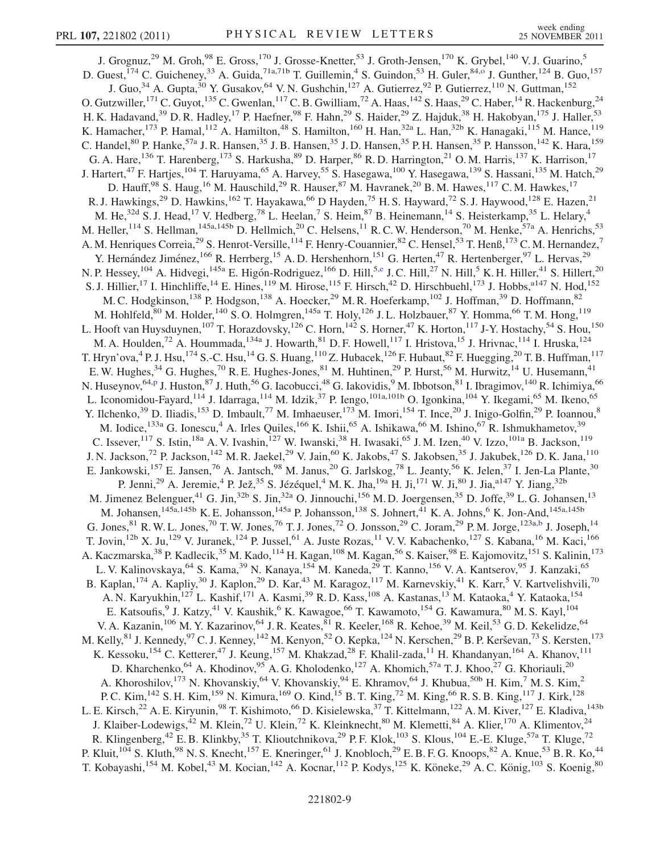<span id="page-8-1"></span><span id="page-8-0"></span>J. Grognuz,<sup>29</sup> M. Groh,<sup>98</sup> E. Gross,<sup>170</sup> J. Grosse-Knetter,<sup>53</sup> J. Groth-Jensen,<sup>170</sup> K. Grybel,<sup>140</sup> V.J. Guarino,<sup>5</sup> D. Guest, <sup>174</sup> C. Guicheney, <sup>33</sup> A. Guida, <sup>71a, 71b</sup> T. Guillemin, <sup>4</sup> S. Guindon, <sup>53</sup> H. Guler, <sup>84,</sup> J. Gunther, <sup>124</sup> B. Guo, <sup>157</sup> J. Guo,<sup>34</sup> A. Gupta,<sup>30</sup> Y. Gusakov,<sup>64</sup> V. N. Gushchin,<sup>127</sup> A. Gutierrez,<sup>92</sup> P. Gutierrez,<sup>110</sup> N. Guttman,<sup>152</sup> O. Gutzwiller,<sup>171</sup> C. Guyot,<sup>135</sup> C. Gwenlan,<sup>117</sup> C. B. Gwilliam,<sup>72</sup> A. Haas,<sup>142</sup> S. Haas,<sup>29</sup> C. Haber,<sup>14</sup> R. Hackenburg,<sup>24</sup> H. K. Hadavand,<sup>39</sup> D. R. Hadley,<sup>17</sup> P. Haefner,<sup>98</sup> F. Hahn,<sup>29</sup> S. Haider,<sup>29</sup> Z. Hajduk,<sup>38</sup> H. Hakobyan,<sup>175</sup> J. Haller,<sup>53</sup> K. Hamacher,<sup>173</sup> P. Hamal,<sup>112</sup> A. Hamilton,<sup>48</sup> S. Hamilton,<sup>160</sup> H. Han,<sup>32a</sup> L. Han,<sup>32b</sup> K. Hanagaki,<sup>115</sup> M. Hance,<sup>119</sup> C. Handel,<sup>80</sup> P. Hanke,<sup>57a</sup> J. R. Hansen,<sup>35</sup> J. B. Hansen,<sup>35</sup> J. D. Hansen,<sup>35</sup> P. H. Hansen,<sup>35</sup> P. Hansson,<sup>142</sup> K. Hara,<sup>159</sup> G. A. Hare,<sup>136</sup> T. Harenberg,<sup>173</sup> S. Harkusha,<sup>89</sup> D. Harper,<sup>86</sup> R. D. Harrington,<sup>21</sup> O. M. Harris,<sup>137</sup> K. Harrison,<sup>17</sup> J. Hartert,<sup>47</sup> F. Hartjes,<sup>104</sup> T. Haruyama,<sup>65</sup> A. Harvey,<sup>55</sup> S. Hasegawa,<sup>100</sup> Y. Hasegawa,<sup>139</sup> S. Hassani,<sup>135</sup> M. Hatch,<sup>29</sup> D. Hauff,  $98$  S. Haug,  $^{16}$  M. Hauschild,  $^{29}$  R. Hauser,  $^{87}$  M. Havranek,  $^{20}$  B. M. Hawes,  $^{117}$  C. M. Hawkes,  $^{17}$ R. J. Hawkings,<sup>29</sup> D. Hawkins,<sup>162</sup> T. Hayakawa,<sup>66</sup> D Hayden,<sup>75</sup> H. S. Hayward,<sup>72</sup> S. J. Haywood,<sup>128</sup> E. Hazen,<sup>21</sup> M. He,<sup>32d</sup> S. J. Head,<sup>17</sup> V. Hedberg,<sup>78</sup> L. Heelan,<sup>7</sup> S. Heim,<sup>87</sup> B. Heinemann,<sup>14</sup> S. Heisterkamp,<sup>35</sup> L. Helary,<sup>4</sup> M. Heller,  $^{114}$  S. Hellman,  $^{145a,145b}$  D. Hellmich,  $^{20}$  C. Helsens,  $^{11}$  R. C. W. Henderson,  $^{70}$  M. Henke,  $^{57a}$  A. Henrichs,  $^{53}$ A. M. Henriques Correia,<sup>29</sup> S. Henrot-Versille,<sup>114</sup> F. Henry-Couannier,<sup>82</sup> C. Hensel,<sup>53</sup> T. Henß,<sup>173</sup> C. M. Hernandez,<sup>7</sup> Y. Hernández Jiménez,<sup>166</sup> R. Herrberg,<sup>15</sup> A. D. Hershenhorn,<sup>151</sup> G. Herten,<sup>47</sup> R. Hertenberger,<sup>97</sup> L. Hervas,<sup>29</sup> N. P. Hessey,<sup>104</sup> A. Hidvegi,<sup>145a</sup> E. Higón-Rodriguez,<sup>166</sup> D. Hill,<sup>5[,e](#page-17-4)</sup> J. C. Hill,<sup>27</sup> N. Hill,<sup>5</sup> K. H. Hiller,<sup>41</sup> S. Hillert,<sup>20</sup> S. J. Hillier,<sup>17</sup> I. Hinchliffe,<sup>14</sup> E. Hines,<sup>119</sup> M. Hirose,<sup>115</sup> F. Hirsch,<sup>42</sup> D. Hirschbuehl,<sup>173</sup> J. Hobbs,<sup>a147</sup> N. Hod,<sup>152</sup> M. C. Hodgkinson,<sup>138</sup> P. Hodgson,<sup>138</sup> A. Hoecker,<sup>29</sup> M. R. Hoeferkamp,<sup>102</sup> J. Hoffman,<sup>39</sup> D. Hoffmann,<sup>82</sup> M. Hohlfeld,<sup>80</sup> M. Holder,<sup>140</sup> S. O. Holmgren,<sup>145a</sup> T. Holy,<sup>126</sup> J. L. Holzbauer,<sup>87</sup> Y. Homma,<sup>66</sup> T. M. Hong,<sup>119</sup> L. Hooft van Huysduynen,<sup>107</sup> T. Horazdovsky,<sup>126</sup> C. Horn,<sup>142</sup> S. Horner,<sup>47</sup> K. Horton,<sup>117</sup> J-Y. Hostachy,<sup>54</sup> S. Hou,<sup>150</sup> M. A. Houlden,<sup>72</sup> A. Hoummada,<sup>134a</sup> J. Howarth,<sup>81</sup> D. F. Howell,<sup>117</sup> I. Hristova,<sup>15</sup> J. Hrivnac,<sup>114</sup> I. Hruska,<sup>124</sup> T. Hryn'ova,<sup>4</sup> P. J. Hsu,<sup>174</sup> S.-C. Hsu,<sup>14</sup> G. S. Huang,<sup>110</sup> Z. Hubacek,<sup>126</sup> F. Hubaut,<sup>82</sup> F. Huegging,<sup>20</sup> T. B. Huffman,<sup>117</sup> E. W. Hughes,<sup>34</sup> G. Hughes,<sup>70</sup> R. E. Hughes-Jones,<sup>81</sup> M. Huhtinen,<sup>29</sup> P. Hurst,<sup>56</sup> M. Hurwitz,<sup>14</sup> U. Husemann,<sup>41</sup> N. Huseynov,<sup>64[,p](#page-17-15)</sup> J. Huston,<sup>87</sup> J. Huth,<sup>56</sup> G. Iacobucci,<sup>48</sup> G. Iakovidis,<sup>9</sup> M. Ibbotson,<sup>81</sup> I. Ibragimov,<sup>140</sup> R. Ichimiya,<sup>66</sup> L. Iconomidou-Fayard,<sup>114</sup> J. Idarraga,<sup>114</sup> M. Idzik,<sup>37</sup> P. Iengo,<sup>101a,101b</sup> O. Igonkina,<sup>104</sup> Y. Ikegami,<sup>65</sup> M. Ikeno,<sup>65</sup> Y. Ilchenko,<sup>39</sup> D. Iliadis,<sup>153</sup> D. Imbault,<sup>77</sup> M. Imhaeuser,<sup>173</sup> M. Imori,<sup>154</sup> T. Ince,<sup>20</sup> J. Inigo-Golfin,<sup>29</sup> P. Ioannou,<sup>8</sup> M. Iodice,<sup>133a</sup> G. Ionescu,<sup>4</sup> A. Irles Quiles,<sup>166</sup> K. Ishii,<sup>65</sup> A. Ishikawa,<sup>66</sup> M. Ishino,<sup>67</sup> R. Ishmukhametov,<sup>39</sup> C. Issever,  $117$  S. Istin,  $18a$  A. V. Ivashin,  $127$  W. Iwanski,  $38$  H. Iwasaki,  $65$  J. M. Izen,  $40$  V. Izzo,  $101a$  B. Jackson,  $119$ J. N. Jackson,<sup>72</sup> P. Jackson,<sup>142</sup> M. R. Jaekel,<sup>29</sup> V. Jain,<sup>60</sup> K. Jakobs,<sup>47</sup> S. Jakobsen,<sup>35</sup> J. Jakubek,<sup>126</sup> D. K. Jana,<sup>110</sup> E. Jankowski, <sup>157</sup> E. Jansen, <sup>76</sup> A. Jantsch, <sup>98</sup> M. Janus, <sup>20</sup> G. Jarlskog, <sup>78</sup> L. Jeanty, <sup>56</sup> K. Jelen, <sup>37</sup> I. Jen-La Plante, <sup>30</sup> P. Jenni,<sup>29</sup> A. Jeremie,<sup>4</sup> P. Jež,<sup>35</sup> S. Jézéquel,<sup>4</sup> M. K. Jha,<sup>19a</sup> H. Ji,<sup>171</sup> W. Ji,<sup>80</sup> J. Jia,<sup>a147</sup> Y. Jiang,<sup>32b</sup> M. Jimenez Belenguer,<sup>41</sup> G. Jin,<sup>32b</sup> S. Jin,<sup>32a</sup> O. Jinnouchi,<sup>156</sup> M.D. Joergensen,<sup>35</sup> D. Joffe,<sup>39</sup> L.G. Johansen,<sup>13</sup> M. Johansen,<sup>145a,145b</sup> K. E. Johansson,<sup>145a</sup> P. Johansson,<sup>138</sup> S. Johnert,<sup>41</sup> K. A. Johns,<sup>6</sup> K. Jon-And,<sup>145a,145b</sup> G. Jones,  $81$  R. W. L. Jones,  $70$  T. W. Jones,  $76$  T. J. Jones,  $72$  O. Jonsson,  $29$  C. Joram,  $29$  P. M. Jorge,  $123a,b$  $123a,b$  J. Joseph,  $14$ T. Jovin,<sup>12b</sup> X. Ju,<sup>129</sup> V. Juranek,<sup>124</sup> P. Jussel,<sup>61</sup> A. Juste Rozas,<sup>11</sup> V. V. Kabachenko,<sup>127</sup> S. Kabana,<sup>16</sup> M. Kaci,<sup>166</sup> A. Kaczmarska,<sup>38</sup> P. Kadlecik,<sup>35</sup> M. Kado,<sup>114</sup> H. Kagan,<sup>108</sup> M. Kagan,<sup>56</sup> S. Kaiser,<sup>98</sup> E. Kajomovitz,<sup>151</sup> S. Kalinin,<sup>173</sup> L. V. Kalinovskaya, <sup>64</sup> S. Kama, <sup>39</sup> N. Kanaya, <sup>154</sup> M. Kaneda, <sup>29</sup> T. Kanno, <sup>156</sup> V. A. Kantserov, <sup>95</sup> J. Kanzaki, <sup>65</sup> B. Kaplan,<sup>174</sup> A. Kapliy,<sup>30</sup> J. Kaplon,<sup>29</sup> D. Kar,<sup>43</sup> M. Karagoz,<sup>117</sup> M. Karnevskiy,<sup>41</sup> K. Karr,<sup>5</sup> V. Kartvelishvili,<sup>70</sup> A. N. Karyukhin, <sup>127</sup> L. Kashif, <sup>171</sup> A. Kasmi, <sup>39</sup> R. D. Kass, <sup>108</sup> A. Kastanas, <sup>13</sup> M. Kataoka, <sup>4</sup> Y. Kataoka, <sup>154</sup> E. Katsoufis, <sup>9</sup> J. Katzy, <sup>41</sup> V. Kaushik, <sup>6</sup> K. Kawagoe, <sup>66</sup> T. Kawamoto, <sup>154</sup> G. Kawamura, <sup>80</sup> M. S. Kayl, <sup>104</sup> V. A. Kazanin,<sup>106</sup> M. Y. Kazarinov,<sup>64</sup> J. R. Keates,<sup>81</sup> R. Keeler,<sup>168</sup> R. Kehoe,<sup>39</sup> M. Keil,<sup>53</sup> G. D. Kekelidze,<sup>64</sup> M. Kelly, ${}^{81}$  J. Kennedy, ${}^{97}$  C. J. Kenney, ${}^{142}$  M. Kenyon, ${}^{52}$  O. Kepka, ${}^{124}$  N. Kerschen, ${}^{29}$  B. P. Kerševan, ${}^{73}$  S. Kersten, ${}^{173}$ K. Kessoku,<sup>154</sup> C. Ketterer,<sup>47</sup> J. Keung,<sup>157</sup> M. Khakzad,<sup>28</sup> F. Khalil-zada,<sup>11</sup> H. Khandanyan,<sup>164</sup> A. Khanov,<sup>111</sup> D. Kharchenko, <sup>64</sup> A. Khodinov, <sup>95</sup> A. G. Kholodenko, <sup>127</sup> A. Khomich, <sup>57a</sup> T. J. Khoo, <sup>27</sup> G. Khoriauli, <sup>20</sup> A. Khoroshilov,<sup>173</sup> N. Khovanskiy,<sup>64</sup> V. Khovanskiy,<sup>94</sup> E. Khramov,<sup>64</sup> J. Khubua,<sup>50b</sup> H. Kim,<sup>7</sup> M. S. Kim,<sup>2</sup> P. C. Kim, <sup>142</sup> S. H. Kim, <sup>159</sup> N. Kimura, <sup>169</sup> O. Kind, <sup>15</sup> B. T. King, <sup>72</sup> M. King, <sup>66</sup> R. S. B. King, <sup>117</sup> J. Kirk, <sup>128</sup> L. E. Kirsch,<sup>22</sup> A. E. Kiryunin,<sup>98</sup> T. Kishimoto,<sup>66</sup> D. Kisielewska,<sup>37</sup> T. Kittelmann,<sup>122</sup> A. M. Kiver,<sup>127</sup> E. Kladiva,<sup>143b</sup> J. Klaiber-Lodewigs,<sup>42</sup> M. Klein,<sup>72</sup> U. Klein,<sup>72</sup> K. Kleinknecht,<sup>80</sup> M. Klemetti,<sup>84</sup> A. Klier,<sup>170</sup> A. Klimentov,<sup>24</sup> R. Klingenberg,<sup>42</sup> E. B. Klinkby,<sup>35</sup> T. Klioutchnikova,<sup>29</sup> P. F. Klok,<sup>103</sup> S. Klous,<sup>104</sup> E.-E. Kluge,<sup>57a</sup> T. Kluge,<sup>72</sup> P. Kluit,<sup>104</sup> S. Kluth,<sup>98</sup> N. S. Knecht,<sup>157</sup> E. Kneringer,<sup>61</sup> J. Knobloch,<sup>29</sup> E. B. F. G. Knoops,<sup>82</sup> A. Knue,<sup>53</sup> B. R. Ko,<sup>44</sup> T. Kobayashi,<sup>154</sup> M. Kobel,<sup>43</sup> M. Kocian,<sup>142</sup> A. Kocnar,<sup>112</sup> P. Kodys,<sup>125</sup> K. Köneke,<sup>29</sup> A. C. König,<sup>103</sup> S. Koenig,<sup>80</sup>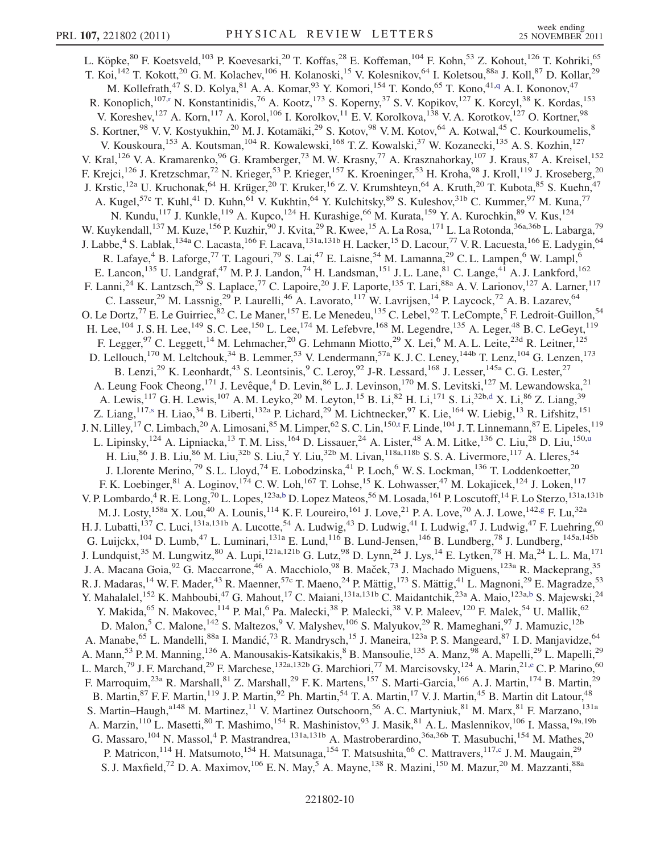<span id="page-9-4"></span><span id="page-9-3"></span><span id="page-9-2"></span><span id="page-9-1"></span><span id="page-9-0"></span>L. Köpke,<sup>80</sup> F. Koetsveld,<sup>103</sup> P. Koevesarki,<sup>20</sup> T. Koffas,<sup>28</sup> E. Koffeman,<sup>104</sup> F. Kohn,<sup>53</sup> Z. Kohout,<sup>126</sup> T. Kohriki,<sup>65</sup> T. Koi,<sup>142</sup> T. Kokott,<sup>20</sup> G. M. Kolachev,<sup>106</sup> H. Kolanoski,<sup>15</sup> V. Kolesnikov,<sup>64</sup> I. Koletsou,<sup>88a</sup> J. Koll,<sup>87</sup> D. Kollar,<sup>29</sup> M. Kollefrath,<sup>47</sup> S. D. Kolya,<sup>81</sup> A. A. Komar,<sup>93</sup> Y. Komori,<sup>154</sup> T. Kondo,<sup>65</sup> T. Kono,<sup>41[,q](#page-17-16)</sup> A. I. Kononov,<sup>47</sup> R. Konoplich,<sup>107,[r](#page-17-17)</sup> N. Konstantinidis,<sup>76</sup> A. Kootz,<sup>173</sup> S. Koperny,<sup>37</sup> S. V. Kopikov,<sup>127</sup> K. Korcyl,<sup>38</sup> K. Kordas,<sup>153</sup> V. Koreshev,<sup>127</sup> A. Korn,<sup>117</sup> A. Korol,<sup>106</sup> I. Korolkov,<sup>11</sup> E. V. Korolkova,<sup>138</sup> V. A. Korotkov,<sup>127</sup> O. Kortner,<sup>98</sup> S. Kortner,<sup>98</sup> V. V. Kostyukhin,<sup>20</sup> M. J. Kotamäki,<sup>29</sup> S. Kotov,<sup>98</sup> V. M. Kotov,<sup>64</sup> A. Kotwal,<sup>45</sup> C. Kourkoumelis,<sup>8</sup> V. Kouskoura,<sup>153</sup> A. Koutsman,<sup>104</sup> R. Kowalewski,<sup>168</sup> T. Z. Kowalski,<sup>37</sup> W. Kozanecki,<sup>135</sup> A. S. Kozhin,<sup>127</sup> V. Kral,<sup>126</sup> V. A. Kramarenko,<sup>96</sup> G. Kramberger,<sup>73</sup> M. W. Krasny,<sup>77</sup> A. Krasznahorkay,<sup>107</sup> J. Kraus,<sup>87</sup> A. Kreisel,<sup>152</sup> F. Krejci,<sup>126</sup> J. Kretzschmar,<sup>72</sup> N. Krieger,<sup>53</sup> P. Krieger,<sup>157</sup> K. Kroeninger,<sup>53</sup> H. Kroha,<sup>98</sup> J. Kroll,<sup>119</sup> J. Kroseberg,<sup>20</sup> J. Krstic,<sup>12a</sup> U. Kruchonak,<sup>64</sup> H. Krüger,<sup>20</sup> T. Kruker,<sup>16</sup> Z. V. Krumshteyn,<sup>64</sup> A. Kruth,<sup>20</sup> T. Kubota,<sup>85</sup> S. Kuehn,<sup>47</sup> A. Kugel,<sup>57c</sup> T. Kuhl,<sup>41</sup> D. Kuhn,<sup>61</sup> V. Kukhtin,<sup>64</sup> Y. Kulchitsky,<sup>89</sup> S. Kuleshov,<sup>31b</sup> C. Kummer,<sup>97</sup> M. Kuna,<sup>77</sup> N. Kundu,<sup>117</sup> J. Kunkle,<sup>119</sup> A. Kupco,<sup>124</sup> H. Kurashige,<sup>66</sup> M. Kurata,<sup>159</sup> Y. A. Kurochkin,<sup>89</sup> V. Kus,<sup>124</sup> W. Kuykendall,<sup>137</sup> M. Kuze,<sup>156</sup> P. Kuzhir,<sup>90</sup> J. Kvita,<sup>29</sup> R. Kwee,<sup>15</sup> A. La Rosa,<sup>171</sup> L. La Rotonda,<sup>36a,36b</sup> L. Labarga,<sup>79</sup> J. Labbe,<sup>4</sup> S. Lablak,<sup>134a</sup> C. Lacasta,<sup>166</sup> F. Lacava,<sup>131a,131b</sup> H. Lacker,<sup>15</sup> D. Lacour,<sup>77</sup> V. R. Lacuesta,<sup>166</sup> E. Ladygin,<sup>64</sup> R. Lafaye,<sup>4</sup> B. Laforge,<sup>77</sup> T. Lagouri,<sup>79</sup> S. Lai,<sup>47</sup> E. Laisne,<sup>54</sup> M. Lamanna,<sup>29</sup> C. L. Lampen,<sup>6</sup> W. Lampl,<sup>6</sup> E. Lancon,<sup>135</sup> U. Landgraf,<sup>47</sup> M. P. J. Landon,<sup>74</sup> H. Landsman,<sup>151</sup> J. L. Lane,<sup>81</sup> C. Lange,<sup>41</sup> A. J. Lankford,<sup>162</sup> F. Lanni,<sup>24</sup> K. Lantzsch,<sup>29</sup> S. Laplace,<sup>77</sup> C. Lapoire,<sup>20</sup> J. F. Laporte,<sup>135</sup> T. Lari,<sup>88a</sup> A. V. Larionov,<sup>127</sup> A. Larner,<sup>117</sup> C. Lasseur,<sup>29</sup> M. Lassnig,<sup>29</sup> P. Laurelli,<sup>46</sup> A. Lavorato,<sup>117</sup> W. Lavrijsen,<sup>14</sup> P. Laycock,<sup>72</sup> A. B. Lazarev,<sup>64</sup> O. Le Dortz,<sup>77</sup> E. Le Guirriec,<sup>82</sup> C. Le Maner,<sup>157</sup> E. Le Menedeu,<sup>135</sup> C. Lebel,<sup>92</sup> T. LeCompte,<sup>5</sup> F. Ledroit-Guillon,<sup>54</sup> H. Lee, $^{104}$  J. S. H. Lee, $^{149}$  S. C. Lee, $^{150}$  L. Lee, $^{174}$  M. Lefebvre, $^{168}$  M. Legendre, $^{135}$  A. Leger, $^{48}$  B. C. LeGeyt, $^{119}$ F. Legger,<sup>97</sup> C. Leggett,<sup>14</sup> M. Lehmacher,<sup>20</sup> G. Lehmann Miotto,<sup>29</sup> X. Lei,<sup>6</sup> M. A. L. Leite,<sup>23d</sup> R. Leitner,<sup>125</sup> D. Lellouch,<sup>170</sup> M. Leltchouk,<sup>34</sup> B. Lemmer,<sup>53</sup> V. Lendermann,<sup>57a</sup> K. J. C. Leney,<sup>144b</sup> T. Lenz,<sup>104</sup> G. Lenzen,<sup>173</sup> B. Lenzi,<sup>29</sup> K. Leonhardt,<sup>43</sup> S. Leontsinis,<sup>9</sup> C. Leroy,<sup>92</sup> J-R. Lessard,<sup>168</sup> J. Lesser,<sup>145a</sup> C. G. Lester,<sup>27</sup> A. Leung Fook Cheong, <sup>171</sup> J. Levêque, <sup>4</sup> D. Levin, <sup>86</sup> L. J. Levinson, <sup>170</sup> M. S. Levitski, <sup>127</sup> M. Lewandowska, <sup>21</sup> A. Lewis, 117 G. H. Lewis, 107 A. M. Leyko, 20 M. Leyton, <sup>15</sup> B. Li, <sup>82</sup> H. Li, <sup>171</sup> S. Li, <sup>32b,[d](#page-17-3)</sup> X. Li, <sup>86</sup> Z. Liang, <sup>39</sup> Z. Liang,  $117, s$  H. Liao,  $34$  B. Liberti,  $132a$  P. Lichard,  $29$  M. Lichtnecker,  $97$  K. Lie,  $164$  W. Liebig,  $13$  R. Lifshitz,  $151$ J. N. Lilley, <sup>17</sup> C. Limbach, <sup>20</sup> A. Limosani, <sup>85</sup> M. Limper, <sup>62</sup> S. C. Lin, <sup>150[,t](#page-17-19)</sup> F. Linde, <sup>104</sup> J. T. Linnemann, <sup>87</sup> E. Lipeles, <sup>119</sup> L. Lipinsky, <sup>124</sup> A. Lipniacka, <sup>13</sup> T. M. Liss, <sup>164</sup> D. Lissauer, <sup>24</sup> A. Lister, <sup>48</sup> A. M. Litke, <sup>136</sup> C. Liu, <sup>28</sup> D. Liu, <sup>150[,u](#page-17-20)</sup> H. Liu,<sup>86</sup> J. B. Liu,<sup>86</sup> M. Liu,<sup>32b</sup> S. Liu,<sup>2</sup> Y. Liu,<sup>32b</sup> M. Livan,<sup>118a,118b</sup> S. S. A. Livermore,<sup>117</sup> A. Lleres,<sup>54</sup> J. Llorente Merino,<sup>79</sup> S. L. Lloyd,<sup>74</sup> E. Lobodzinska,<sup>41</sup> P. Loch,<sup>6</sup> W. S. Lockman,<sup>136</sup> T. Loddenkoetter,<sup>20</sup> F. K. Loebinger, <sup>81</sup> A. Loginov, <sup>174</sup> C. W. Loh, <sup>167</sup> T. Lohse, <sup>15</sup> K. Lohwasser, <sup>47</sup> M. Lokajicek, <sup>124</sup> J. Loken, <sup>117</sup> V. P. Lom[b](#page-17-1)ardo,<sup>4</sup> R. E. Long,<sup>70</sup> L. Lopes,<sup>123a,b</sup> D. Lopez Mateos,<sup>56</sup> M. Losada,<sup>161</sup> P. Loscutoff,<sup>14</sup> F. Lo Sterzo,<sup>131a,131b</sup> M. J. Losty, <sup>158a</sup> X. Lou,<sup>40</sup> A. Lounis, <sup>114</sup> K. F. Loureiro, <sup>161</sup> J. Love, <sup>21</sup> P. A. Love, <sup>70</sup> A. J. Lowe, <sup>142[,g](#page-17-6)</sup> F. Lu, <sup>32a</sup> H. J. Lubatti,<sup>137</sup> C. Luci,<sup>131a,131b</sup> A. Lucotte,<sup>54</sup> A. Ludwig,<sup>43</sup> D. Ludwig,<sup>41</sup> I. Ludwig,<sup>47</sup> J. Ludwig,<sup>47</sup> F. Luehring,<sup>60</sup> G. Luijckx,<sup>104</sup> D. Lumb,<sup>47</sup> L. Luminari,<sup>131a</sup> E. Lund,<sup>116</sup> B. Lund-Jensen,<sup>146</sup> B. Lundberg,<sup>78</sup> J. Lundberg,<sup>145a,145b</sup> J. Lundquist,<sup>35</sup> M. Lungwitz,<sup>80</sup> A. Lupi,<sup>121a,121b</sup> G. Lutz,<sup>98</sup> D. Lynn,<sup>24</sup> J. Lys,<sup>14</sup> E. Lytken,<sup>78</sup> H. Ma,<sup>24</sup> L. L. Ma,<sup>171</sup> J. A. Macana Goia,<sup>92</sup> G. Maccarrone,<sup>46</sup> A. Macchiolo,<sup>98</sup> B. Maček,<sup>73</sup> J. Machado Miguens,<sup>123a</sup> R. Mackeprang,<sup>35</sup> R. J. Madaras,<sup>14</sup> W. F. Mader,<sup>43</sup> R. Maenner,<sup>57c</sup> T. Maeno,<sup>24</sup> P. Mättig,<sup>173</sup> S. Mättig,<sup>41</sup> L. Magnoni,<sup>29</sup> E. Magradze,<sup>53</sup> Y. Mahalalel,<sup>152</sup> K. Mah[b](#page-17-1)oubi,<sup>47</sup> G. Mahout,<sup>17</sup> C. Maiani,<sup>131a,131b</sup> C. Maidantchik,<sup>23a</sup> A. Maio,<sup>123a,b</sup> S. Majewski,<sup>24</sup> Y. Makida,<sup>65</sup> N. Makovec,<sup>114</sup> P. Mal,<sup>6</sup> Pa. Malecki,<sup>38</sup> P. Malecki,<sup>38</sup> V. P. Maleev,<sup>120</sup> F. Malek,<sup>54</sup> U. Mallik,<sup>62</sup> D. Malon,<sup>5</sup> C. Malone,<sup>142</sup> S. Maltezos,<sup>9</sup> V. Malyshev,<sup>106</sup> S. Malyukov,<sup>29</sup> R. Mameghani,<sup>97</sup> J. Mamuzic,<sup>12b</sup> A. Manabe, <sup>65</sup> L. Mandelli, <sup>88a</sup> I. Mandić, <sup>73</sup> R. Mandrysch, <sup>15</sup> J. Maneira, <sup>123a</sup> P. S. Mangeard, <sup>87</sup> I. D. Manjavidze, <sup>64</sup> A. Mann, <sup>53</sup> P. M. Manning, <sup>136</sup> A. Manousakis-Katsikakis, <sup>8</sup> B. Mansoulie, <sup>135</sup> A. Manz, <sup>98</sup> A. Mapelli, <sup>29</sup> L. Mapelli, <sup>29</sup> L. March,<sup>79</sup> J. F. Marchand,<sup>29</sup> F. March[e](#page-17-4)se,<sup>132a,132b</sup> G. Marchiori,<sup>77</sup> M. Marcisovsky,<sup>124</sup> A. Marin,<sup>21,e</sup> C. P. Marino,<sup>60</sup> F. Marroquim,<sup>23a</sup> R. Marshall,<sup>81</sup> Z. Marshall,<sup>29</sup> F. K. Martens,<sup>157</sup> S. Marti-Garcia,<sup>166</sup> A. J. Martin,<sup>174</sup> B. Martin,<sup>29</sup> B. Martin, <sup>87</sup> F. F. Martin, <sup>119</sup> J. P. Martin, <sup>92</sup> Ph. Martin, <sup>54</sup> T. A. Martin, <sup>17</sup> V. J. Martin, <sup>45</sup> B. Martin dit Latour, <sup>48</sup> S. Martin–Haugh,<sup>a148</sup> M. Martinez,<sup>11</sup> V. Martinez Outschoorn,<sup>56</sup> A. C. Martyniuk,<sup>81</sup> M. Marx,<sup>81</sup> F. Marzano,<sup>131a</sup> A. Marzin,<sup>110</sup> L. Masetti,<sup>80</sup> T. Mashimo,<sup>154</sup> R. Mashinistov,<sup>93</sup> J. Masik,<sup>81</sup> A. L. Maslennikov,<sup>106</sup> I. Massa,<sup>19a,19b</sup> G. Massaro,  $^{104}$  N. Massol, <sup>4</sup> P. Mastrandrea,  $^{131a,131b}$  A. Mastroberardino,  $^{36a,36b}$  T. Masubuchi,  $^{154}$  M. Mathes,  $^{20}$ P. Matricon,<sup>114</sup> H. Matsumoto,<sup>154</sup> H. Matsunaga,<sup>154</sup> T. Matsushita,<sup>66</sup> C. Mattravers,<sup>117[,c](#page-17-2)</sup> J. M. Maugain,<sup>29</sup> S. J. Maxfield,<sup>72</sup> D. A. Maximov,<sup>106</sup> E. N. May,<sup>5</sup> A. Mayne,<sup>138</sup> R. Mazini,<sup>150</sup> M. Mazur,<sup>20</sup> M. Mazzanti,<sup>88a</sup>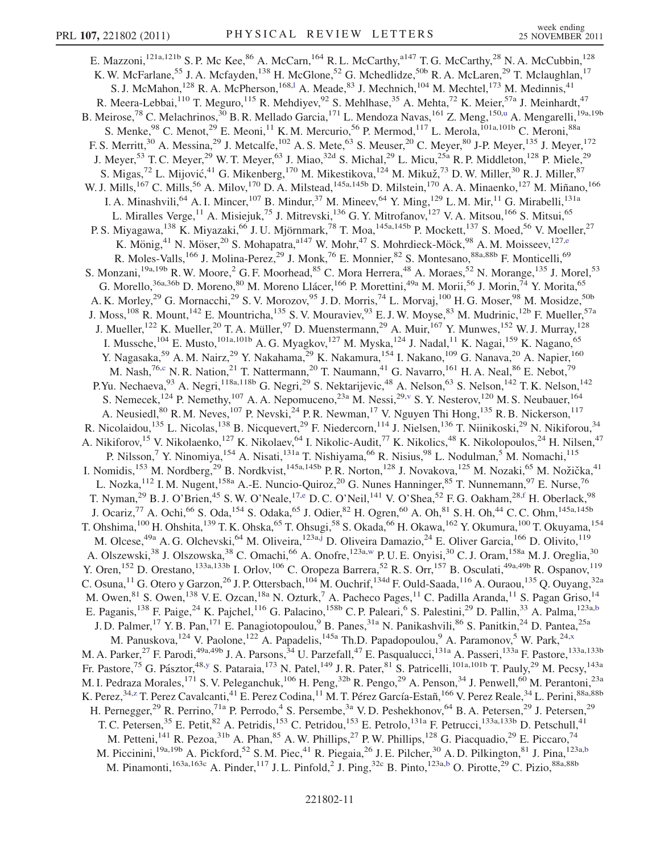<span id="page-10-4"></span><span id="page-10-3"></span><span id="page-10-2"></span><span id="page-10-1"></span><span id="page-10-0"></span>E. Mazzoni,<sup>121a,121b</sup> S. P. Mc Kee,<sup>86</sup> A. McCarn,<sup>164</sup> R. L. McCarthy,<sup>a147</sup> T. G. McCarthy,<sup>28</sup> N. A. McCubbin,<sup>128</sup> K. W. McFarlane,<sup>55</sup> J. A. Mcfayden,<sup>138</sup> H. McGlone,<sup>52</sup> G. Mchedlidze,<sup>50b</sup> R. A. McLaren,<sup>29</sup> T. Mclaughlan,<sup>17</sup> S. J. McMahon,<sup>128</sup> R. A. McPherson,<sup>168,1</sup> A. Meade,<sup>83</sup> J. Mechnich,<sup>104</sup> M. Mechtel,<sup>173</sup> M. Medinnis,<sup>41</sup> R. Meera-Lebbai,<sup>110</sup> T. Meguro,<sup>115</sup> R. Mehdiyev,<sup>92</sup> S. Mehlhase,<sup>35</sup> A. Mehta,<sup>72</sup> K. Meier,<sup>57a</sup> J. Meinhardt,<sup>47</sup> B. Meirose,<sup>78</sup> C. Melachrinos,<sup>30</sup> B. R. Mellado Garcia,<sup>171</sup> L. Mendoza Navas,<sup>161</sup> Z. Meng,<sup>150[,u](#page-17-20)</sup> A. Mengarelli,<sup>19a,19b</sup> S. Menke,  $98$  C. Menot,  $29$  E. Meoni,  $11$  K. M. Mercurio,  $56$  P. Mermod,  $117$  L. Merola,  $101a,101b$  C. Meroni,  $88a$ F. S. Merritt,<sup>30</sup> A. Messina,<sup>29</sup> J. Metcalfe,<sup>102</sup> A. S. Mete,<sup>63</sup> S. Meuser,<sup>20</sup> C. Meyer,<sup>80</sup> J-P. Meyer,<sup>135</sup> J. Meyer,<sup>172</sup> J. Meyer,<sup>53</sup> T. C. Meyer,<sup>29</sup> W. T. Meyer,<sup>63</sup> J. Miao,<sup>32d</sup> S. Michal,<sup>29</sup> L. Micu,<sup>25a</sup> R. P. Middleton,<sup>128</sup> P. Miele,<sup>29</sup> S. Migas,<sup>72</sup> L. Mijović,<sup>41</sup> G. Mikenberg,<sup>170</sup> M. Mikestikova,<sup>124</sup> M. Mikuž,<sup>73</sup> D. W. Miller,<sup>30</sup> R. J. Miller,<sup>87</sup> W. J. Mills,<sup>167</sup> C. Mills,<sup>56</sup> A. Milov,<sup>170</sup> D. A. Milstead,<sup>145a,145b</sup> D. Milstein,<sup>170</sup> A. A. Minaenko,<sup>127</sup> M. Miñano,<sup>166</sup> I. A. Minashvili, <sup>64</sup> A. I. Mincer, <sup>107</sup> B. Mindur, <sup>37</sup> M. Mineev, <sup>64</sup> Y. Ming, <sup>129</sup> L. M. Mir, <sup>11</sup> G. Mirabelli, <sup>131a</sup> L. Miralles Verge,<sup>11</sup> A. Misiejuk,<sup>75</sup> J. Mitrevski,<sup>136</sup> G. Y. Mitrofanov,<sup>127</sup> V. A. Mitsou,<sup>166</sup> S. Mitsui,<sup>65</sup> P. S. Miyagawa,<sup>138</sup> K. Miyazaki,<sup>66</sup> J. U. Mjörnmark,<sup>78</sup> T. Moa,<sup>145a,145b</sup> P. Mockett,<sup>137</sup> S. Moed,<sup>56</sup> V. Moeller,<sup>27</sup> K. Mönig,<sup>41</sup> N. Mös[e](#page-17-4)r,<sup>20</sup> S. Mohapatra,<sup>a147</sup> W. Mohr,<sup>47</sup> S. Mohrdieck-Möck,<sup>98</sup> A. M. Moisseev,<sup>127,e</sup> R. Moles-Valls,<sup>166</sup> J. Molina-Perez,<sup>29</sup> J. Monk,<sup>76</sup> E. Monnier,<sup>82</sup> S. Montesano,<sup>88a,88b</sup> F. Monticelli,<sup>69</sup> S. Monzani,<sup>19a,19b</sup> R. W. Moore,<sup>2</sup> G. F. Moorhead,<sup>85</sup> C. Mora Herrera,<sup>48</sup> A. Moraes,<sup>52</sup> N. Morange,<sup>135</sup> J. Morel,<sup>53</sup> G. Morello,<sup>36a,36b</sup> D. Moreno,<sup>80</sup> M. Moreno Llácer,<sup>166</sup> P. Morettini,<sup>49a</sup> M. Morii,<sup>56</sup> J. Morin,<sup>74</sup> Y. Morita,<sup>65</sup> A. K. Morley,<sup>29</sup> G. Mornacchi,<sup>29</sup> S. V. Morozov,<sup>95</sup> J. D. Morris,<sup>74</sup> L. Morvaj,<sup>100</sup> H. G. Moser,<sup>98</sup> M. Mosidze,<sup>50b</sup> J. Moss,<sup>108</sup> R. Mount,<sup>142</sup> E. Mountricha,<sup>135</sup> S. V. Mouraviev,<sup>93</sup> E. J. W. Moyse,<sup>83</sup> M. Mudrinic,<sup>12b</sup> F. Mueller,<sup>57a</sup> J. Mueller,<sup>122</sup> K. Mueller,<sup>20</sup> T. A. Müller,<sup>97</sup> D. Muenstermann,<sup>29</sup> A. Muir,<sup>167</sup> Y. Munwes,<sup>152</sup> W. J. Murray,<sup>128</sup> I. Mussche,<sup>104</sup> E. Musto,<sup>101a,101b</sup> A. G. Myagkov,<sup>127</sup> M. Myska,<sup>124</sup> J. Nadal,<sup>11</sup> K. Nagai,<sup>159</sup> K. Nagano,<sup>65</sup> Y. Nagasaka,<sup>59</sup> A. M. Nairz,<sup>29</sup> Y. Nakahama,<sup>29</sup> K. Nakamura,<sup>154</sup> I. Nakano,<sup>109</sup> G. Nanava,<sup>20</sup> A. Napier,<sup>160</sup> M. Nash,<sup>76[,c](#page-17-2)</sup> N. R. Nation,<sup>21</sup> T. Nattermann,<sup>20</sup> T. Naumann,<sup>41</sup> G. Navarro,<sup>161</sup> H. A. Neal,<sup>86</sup> E. Nebot,<sup>79</sup> P.Yu. Nechaeva,<sup>93</sup> A. Negri,<sup>118a,118b</sup> G. Negri,<sup>29</sup> S. Nektarijevic,<sup>48</sup> A. Nelson,<sup>63</sup> S. Nelson,<sup>142</sup> T.K. Nelson,<sup>142</sup> S. Nemecek,<sup>124</sup> P. Nemethy,<sup>107</sup> A. A. Nepomuceno,<sup>23a</sup> M. Nessi,<sup>29,[v](#page-17-21)</sup> S. Y. Nesterov,<sup>120</sup> M. S. Neubauer,<sup>164</sup> A. Neusiedl,<sup>80</sup> R. M. Neves,<sup>107</sup> P. Nevski,<sup>24</sup> P. R. Newman,<sup>17</sup> V. Nguyen Thi Hong,<sup>135</sup> R. B. Nickerson,<sup>117</sup> R. Nicolaidou,<sup>135</sup> L. Nicolas,<sup>138</sup> B. Nicquevert,<sup>29</sup> F. Niedercorn,<sup>114</sup> J. Nielsen,<sup>136</sup> T. Niinikoski,<sup>29</sup> N. Nikiforou,<sup>34</sup> A. Nikiforov,<sup>15</sup> V. Nikolaenko,<sup>127</sup> K. Nikolaev,<sup>64</sup> I. Nikolic-Audit,<sup>77</sup> K. Nikolics,<sup>48</sup> K. Nikolopoulos,<sup>24</sup> H. Nilsen,<sup>47</sup> P. Nilsson,<sup>7</sup> Y. Ninomiya, <sup>154</sup> A. Nisati, <sup>131a</sup> T. Nishiyama, <sup>66</sup> R. Nisius, <sup>98</sup> L. Nodulman, <sup>5</sup> M. Nomachi, <sup>115</sup> I. Nomidis,<sup>153</sup> M. Nordberg,<sup>29</sup> B. Nordkvist,<sup>145a,145b</sup> P. R. Norton,<sup>128</sup> J. Novakova,<sup>125</sup> M. Nozaki,<sup>65</sup> M. Nožička,<sup>41</sup> L. Nozka,<sup>112</sup> I. M. Nugent,<sup>158a</sup> A.-E. Nuncio-Quiroz,<sup>20</sup> G. Nunes Hanninger,<sup>85</sup> T. Nunnemann,<sup>97</sup> E. Nurse,<sup>76</sup> T. Nyman,<sup>29</sup> B. J. O'Brien,<sup>45</sup> S. W. O'Neale,<sup>17[,e](#page-17-4)</sup> D. C. O'Neil,<sup>141</sup> V. O'Shea,<sup>52</sup> F. G. Oakham,<sup>28,[f](#page-17-5)</sup> H. Oberlack,<sup>98</sup> J. Ocariz,<sup>77</sup> A. Ochi,<sup>66</sup> S. Oda,<sup>154</sup> S. Odaka,<sup>65</sup> J. Odier,<sup>82</sup> H. Ogren,<sup>60</sup> A. Oh,<sup>81</sup> S. H. Oh,<sup>44</sup> C. C. Ohm,<sup>145a,145b</sup> T. Ohshima,  $^{100}$  H. Ohshita,  $^{139}$  T. K. Ohska, $^{65}$  T. Ohsugi, $^{58}$  S. Okada, $^{66}$  H. Okawa,  $^{162}$  Y. Okumura,  $^{100}$  T. Okuyama,  $^{154}$ M. Olcese,<sup>49a</sup> A. G. Olchevski,<sup>64</sup> M. Oliveira,<sup>123a,[j](#page-17-9)</sup> D. Oliveira Damazio,<sup>24</sup> E. Oliver Garcia,<sup>166</sup> D. Olivito,<sup>119</sup> A. Olszewski,<sup>38</sup> J. Olszowska,<sup>38</sup> C. Omachi,<sup>66</sup> A. Onofre,<sup>123a[,w](#page-17-22)</sup> P. U. E. Onyisi,<sup>30</sup> C. J. Oram,<sup>158a</sup> M. J. Oreglia,<sup>30</sup> Y. Oren,<sup>152</sup> D. Orestano,<sup>133a,133b</sup> I. Orlov,<sup>106</sup> C. Oropeza Barrera,<sup>52</sup> R. S. Orr,<sup>157</sup> B. Osculati,<sup>49a,49b</sup> R. Ospanov,<sup>119</sup> C. Osuna,  $^{11}$  G. Otero y Garzon,  $^{26}$  J. P. Ottersbach,  $^{104}$  M. Ouchrif,  $^{134d}$  F. Ould-Saada,  $^{116}$  A. Ouraou,  $^{135}$  Q. Ouyang,  $^{32a}$ M. Owen, <sup>81</sup> S. Owen, <sup>138</sup> V. E. Ozcan, <sup>18a</sup> N. Ozturk, <sup>7</sup> A. Pacheco Pages, <sup>11</sup> C. Padilla Aranda, <sup>11</sup> S. Pagan Griso, <sup>14</sup> E. Paganis,<sup>138</sup> F. Paige,<sup>24</sup> K. Pajchel,<sup>116</sup> G. Palacino,<sup>158b</sup> C. P. Paleari,<sup>6</sup> S. Palestini,<sup>29</sup> D. Pallin,<sup>33</sup> A. Palma,<sup>123a[,b](#page-17-1)</sup> J. D. Palmer,<sup>17</sup> Y. B. Pan,<sup>171</sup> E. Panagiotopoulou, <sup>9</sup> B. Panes, <sup>31a</sup> N. Panikashvili, <sup>86</sup> S. Panitkin, <sup>24</sup> D. Pantea, <sup>25a</sup> M. Panuskova, <sup>124</sup> V. Paolone, <sup>122</sup> A. Papadelis, <sup>145a</sup> Th.D. Papadopoulou, <sup>9</sup> A. Paramonov, <sup>5</sup> W. Park, <sup>24[,x](#page-17-23)</sup> M. A. Parker,<sup>27</sup> F. Parodi,<sup>49a,49b</sup> J. A. Parsons,<sup>34</sup> U. Parzefall,<sup>47</sup> E. Pasqualucci,<sup>131a</sup> A. Passeri,<sup>133a</sup> F. Pastore,<sup>133a,133b</sup> Fr. Pastore,<sup>75</sup> G. Pásztor,<sup>48,[y](#page-17-24)</sup> S. Pataraia,<sup>173</sup> N. Patel,<sup>149</sup> J. R. Pater,<sup>81</sup> S. Patricelli,<sup>101a,101b</sup> T. Pauly,<sup>29</sup> M. Pecsy,<sup>143a</sup> M. I. Pedraza Morales,<sup>171</sup> S. V. Peleganchuk,<sup>106</sup> H. Peng,<sup>32b</sup> R. Pengo,<sup>29</sup> A. Penson,<sup>34</sup> J. Penwell,<sup>60</sup> M. Perantoni,<sup>23a</sup> K. Pere[z](#page-17-25),<sup>34,z</sup> T. Perez Cavalcanti,<sup>41</sup> E. Perez Codina,<sup>11</sup> M. T. Pérez García-Estañ,<sup>166</sup> V. Perez Reale,<sup>34</sup> L. Perini,<sup>88a,88b</sup> H. Pernegger,<sup>29</sup> R. Perrino,<sup>71a</sup> P. Perrodo,<sup>4</sup> S. Persembe,<sup>3a</sup> V.D. Peshekhonov,<sup>64</sup> B.A. Petersen,<sup>29</sup> J. Petersen,<sup>29</sup> T. C. Petersen,<sup>35</sup> E. Petit,<sup>82</sup> A. Petridis,<sup>153</sup> C. Petridou,<sup>153</sup> E. Petrolo,<sup>131a</sup> F. Petrucci,<sup>133a,133b</sup> D. Petschull,<sup>41</sup> M. Petteni,<sup>141</sup> R. Pezoa,<sup>31b</sup> A. Phan,<sup>85</sup> A. W. Phillips,<sup>27</sup> P. W. Phillips,<sup>128</sup> G. Piacquadio,<sup>29</sup> E. Piccaro,<sup>74</sup> M. Piccinini,<sup>19a,19b</sup> A. Pickford,<sup>52</sup> S.M. Piec,<sup>41</sup> R. Piegaia,<sup>26</sup> J. E. Pilcher,<sup>30</sup> A.D. Pilkington,<sup>81</sup> J. Pina,<sup>123a[,b](#page-17-1)</sup> M. Pinamonti,<sup>163a,163c</sup> A. Pinder,<sup>117</sup> J. L. Pinfold,<sup>2</sup> J. Ping,<sup>32c</sup> B. Pinto,<sup>123a,[b](#page-17-1)</sup> O. Pirotte,<sup>29</sup> C. Pizio,<sup>88a,88b</sup>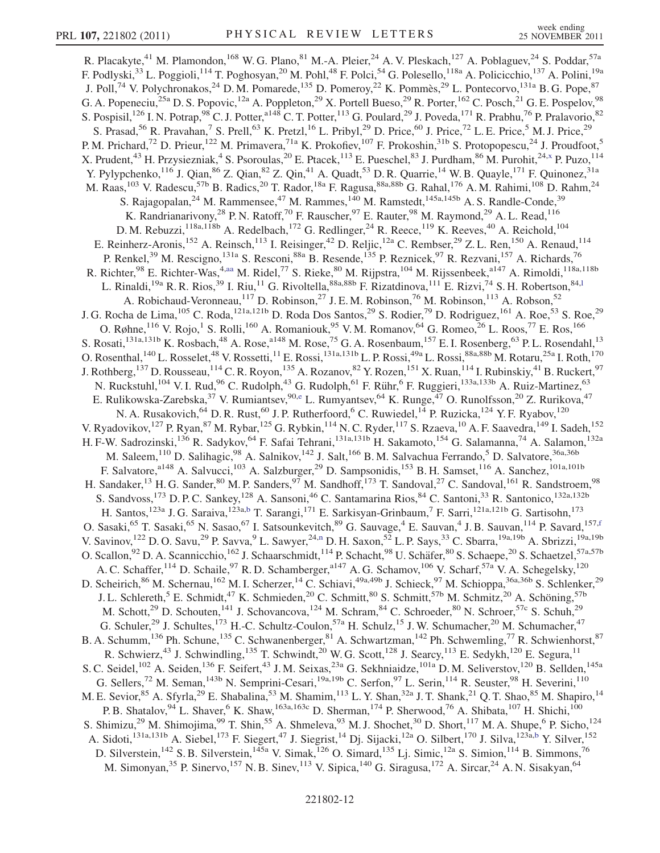<span id="page-11-0"></span>R. Placakyte,<sup>41</sup> M. Plamondon,<sup>168</sup> W. G. Plano,<sup>81</sup> M.-A. Pleier,<sup>24</sup> A. V. Pleskach,<sup>127</sup> A. Poblaguev,<sup>24</sup> S. Poddar,<sup>57a</sup> F. Podlyski,<sup>33</sup> L. Poggioli,<sup>114</sup> T. Poghosyan,<sup>20</sup> M. Pohl,<sup>48</sup> F. Polci,<sup>54</sup> G. Polesello,<sup>118a</sup> A. Policicchio,<sup>137</sup> A. Polini,<sup>19a</sup> J. Poll,<sup>74</sup> V. Polychronakos,<sup>24</sup> D. M. Pomarede,<sup>135</sup> D. Pomeroy,<sup>22</sup> K. Pommès,<sup>29</sup> L. Pontecorvo,<sup>131a</sup> B. G. Pope,<sup>87</sup> G. A. Popeneciu,<sup>25a</sup> D. S. Popovic,<sup>12a</sup> A. Poppleton,<sup>29</sup> X. Portell Bueso,<sup>29</sup> R. Porter,<sup>162</sup> C. Posch,<sup>21</sup> G. E. Pospelov,<sup>98</sup> S. Pospisil,<sup>126</sup> I. N. Potrap,<sup>98</sup> C. J. Potter,<sup>a148</sup> C. T. Potter,<sup>113</sup> G. Poulard,<sup>29</sup> J. Poveda,<sup>171</sup> R. Prabhu,<sup>76</sup> P. Pralavorio,<sup>82</sup> S. Prasad,<sup>56</sup> R. Pravahan,<sup>7</sup> S. Prell,<sup>63</sup> K. Pretzl,<sup>16</sup> L. Pribyl,<sup>29</sup> D. Price,<sup>60</sup> J. Price,<sup>72</sup> L. E. Price,<sup>5</sup> M. J. Price,<sup>29</sup> P. M. Prichard,<sup>72</sup> D. Prieur,<sup>122</sup> M. Primavera,<sup>71a</sup> K. Prokofiev,<sup>107</sup> F. Prokoshin,<sup>31b</sup> S. Protopopescu,<sup>24</sup> J. Proudfoot,<sup>5</sup> X. Prudent,<sup>43</sup> H. Przysiezniak,<sup>4</sup> S. Psoroulas,<sup>20</sup> E. Ptacek,<sup>113</sup> E. Pueschel,<sup>83</sup> J. Purdham,<sup>86</sup> M. Purohit,<sup>24,[x](#page-17-23)</sup> P. Puzo,<sup>114</sup> Y. Pylypchenko,<sup>116</sup> J. Qian,<sup>86</sup> Z. Qian,<sup>82</sup> Z. Qin,<sup>41</sup> A. Quadt,<sup>53</sup> D. R. Quarrie,<sup>14</sup> W. B. Quayle,<sup>171</sup> F. Quinonez,<sup>31a</sup> M. Raas,<sup>103</sup> V. Radescu,<sup>57b</sup> B. Radics,<sup>20</sup> T. Rador,<sup>18a</sup> F. Ragusa,<sup>88a,88b</sup> G. Rahal,<sup>176</sup> A. M. Rahimi,<sup>108</sup> D. Rahm,<sup>24</sup> S. Rajagopalan,<sup>24</sup> M. Rammensee,<sup>47</sup> M. Rammes,<sup>140</sup> M. Ramstedt,<sup>145a,145b</sup> A. S. Randle-Conde,<sup>39</sup> K. Randrianarivony,<sup>28</sup> P. N. Ratoff,<sup>70</sup> F. Rauscher,<sup>97</sup> E. Rauter,<sup>98</sup> M. Raymond,<sup>29</sup> A. L. Read,<sup>116</sup> D. M. Rebuzzi,<sup>118a,118b</sup> A. Redelbach,<sup>172</sup> G. Redlinger,<sup>24</sup> R. Reece,<sup>119</sup> K. Reeves,<sup>40</sup> A. Reichold,<sup>104</sup> E. Reinherz-Aronis,<sup>152</sup> A. Reinsch,<sup>113</sup> I. Reisinger,<sup>42</sup> D. Reljic,<sup>12a</sup> C. Rembser,<sup>29</sup> Z. L. Ren,<sup>150</sup> A. Renaud,<sup>114</sup> P. Renkel,<sup>39</sup> M. Rescigno,<sup>131a</sup> S. Resconi,<sup>88a</sup> B. Resende,<sup>135</sup> P. Reznicek,<sup>97</sup> R. Rezvani,<sup>157</sup> A. Richards,<sup>76</sup> R. Richter,<sup>98</sup> E. Richter-Was,<sup>4,[aa](#page-17-26)</sup> M. Ridel,<sup>77</sup> S. Rieke,<sup>80</sup> M. Rijpstra,<sup>104</sup> M. Rijssenbeek,<sup>a147</sup> A. Rimoldi,<sup>118a,118b</sup> L. Rinaldi,<sup>19a</sup> R. R. Rios,<sup>39</sup> I. Riu,<sup>11</sup> G. Rivoltella,<sup>88a,88b</sup> F. Rizatdinova,<sup>111</sup> E. Rizvi,<sup>74</sup> S. H. Robertson,<sup>84,1</sup> A. Robichaud-Veronneau,<sup>117</sup> D. Robinson,<sup>27</sup> J. E. M. Robinson,<sup>76</sup> M. Robinson,<sup>113</sup> A. Robson,<sup>52</sup> J. G. Rocha de Lima,<sup>105</sup> C. Roda,<sup>121a,121b</sup> D. Roda Dos Santos,<sup>29</sup> S. Rodier,<sup>79</sup> D. Rodriguez,<sup>161</sup> A. Roe,<sup>53</sup> S. Roe,<sup>29</sup> O. Røhne,  $^{116}$  V. Rojo,  $^{1}$  S. Rolli,  $^{160}$  A. Romaniouk,  $^{95}$  V. M. Romanov,  $^{64}$  G. Romeo,  $^{26}$  L. Roos,  $^{77}$  E. Ros,  $^{166}$ S. Rosati,<sup>131a,131b</sup> K. Rosbach,<sup>48</sup> A. Rose,<sup>a148</sup> M. Rose,<sup>75</sup> G. A. Rosenbaum,<sup>157</sup> E. I. Rosenberg,<sup>63</sup> P. L. Rosendahl,<sup>13</sup> O. Rosenthal,  $^{140}$  L. Rosselet,  $^{48}$  V. Rossetti,  $^{11}$  E. Rossi,  $^{131a,131b}$  L. P. Rossi,  $^{49a}$  L. Rossi,  $^{88a,88b}$  M. Rotaru,  $^{25a}$  I. Roth,  $^{170}$ J. Rothberg, <sup>137</sup> D. Rousseau, <sup>114</sup> C. R. Royon, <sup>135</sup> A. Rozanov, <sup>82</sup> Y. Rozen, <sup>151</sup> X. Ruan, <sup>114</sup> I. Rubinskiy, <sup>41</sup> B. Ruckert, <sup>97</sup> N. Ruckstuhl,<sup>104</sup> V. I. Rud,<sup>96</sup> C. Rudolph,<sup>43</sup> G. Rudolph,<sup>61</sup> F. Rühr,<sup>6</sup> F. Ruggieri,<sup>133a,133b</sup> A. Ruiz-Martinez,<sup>63</sup> E. Rulikowska-Zar[e](#page-17-4)bska,<sup>37</sup> V. Rumiantsev,<sup>90,e</sup> L. Rumyantsev,<sup>64</sup> K. Runge,<sup>47</sup> O. Runolfsson,<sup>20</sup> Z. Rurikova,<sup>47</sup> N. A. Rusakovich, <sup>64</sup> D. R. Rust, <sup>60</sup> J. P. Rutherfoord, <sup>6</sup> C. Ruwiedel, <sup>14</sup> P. Ruzicka, <sup>124</sup> Y. F. Ryabov, <sup>120</sup> V. Ryadovikov,<sup>127</sup> P. Ryan,<sup>87</sup> M. Rybar,<sup>125</sup> G. Rybkin,<sup>114</sup> N. C. Ryder,<sup>117</sup> S. Rzaeva,<sup>10</sup> A. F. Saavedra,<sup>149</sup> I. Sadeh,<sup>152</sup> H. F-W. Sadrozinski,<sup>136</sup> R. Sadykov,<sup>64</sup> F. Safai Tehrani,<sup>131a,131b</sup> H. Sakamoto,<sup>154</sup> G. Salamanna,<sup>74</sup> A. Salamon,<sup>132a</sup> M. Saleem, 110 D. Salihagic, <sup>98</sup> A. Salnikov, <sup>142</sup> J. Salt, <sup>166</sup> B. M. Salvachua Ferrando, 5 D. Salvatore, <sup>36a, 36b</sup> F. Salvatore,<sup>a148</sup> A. Salvucci,<sup>103</sup> A. Salzburger,<sup>29</sup> D. Sampsonidis,<sup>153</sup> B. H. Samset,<sup>116</sup> A. Sanchez,<sup>101a,101b</sup> H. Sandaker,<sup>13</sup> H. G. Sander,<sup>80</sup> M. P. Sanders,<sup>97</sup> M. Sandhoff,<sup>173</sup> T. Sandoval,<sup>27</sup> C. Sandoval,<sup>161</sup> R. Sandstroem,<sup>98</sup> S. Sandvoss,<sup>173</sup> D. P. C. Sankey,<sup>128</sup> A. Sansoni,<sup>46</sup> C. Santamarina Rios,<sup>84</sup> C. Santoni,<sup>33</sup> R. Santonico,<sup>132a,132b</sup> H. Santos,<sup>123a</sup> J. G. Saraiva,<sup>123a,[b](#page-17-1)</sup> T. Sarangi,<sup>171</sup> E. Sarkisyan-Grinbaum,<sup>7</sup> F. Sarri,<sup>121a,121b</sup> G. Sartisohn,<sup>173</sup> O. Sasaki,<sup>65</sup> T. Sasaki,<sup>65</sup> N. Sasao,<sup>67</sup> I. Satsounkevitch,<sup>89</sup> G. Sauvage,<sup>4</sup> E. Sauvan,<sup>4</sup> J. B. Sauvan,<sup>114</sup> P. Savard,<sup>157,[f](#page-17-5)</sup> V. Savi[n](#page-17-13)ov, <sup>122</sup> D. O. Savu, <sup>29</sup> P. Savva, <sup>9</sup> L. Sawyer, <sup>24,n</sup> D. H. Saxon, <sup>52</sup> L. P. Says, <sup>33</sup> C. Sbarra, <sup>19a, 19b</sup> A. Sbrizzi, <sup>19a, 19b</sup> O. Scallon,<sup>92</sup> D. A. Scannicchio,<sup>162</sup> J. Schaarschmidt,<sup>114</sup> P. Schacht,<sup>98</sup> U. Schäfer,<sup>80</sup> S. Schaepe,<sup>20</sup> S. Schaetzel,<sup>57a,57b</sup> A. C. Schaffer, <sup>114</sup> D. Schaile, <sup>97</sup> R. D. Schamberger, <sup>a147</sup> A. G. Schamov, <sup>106</sup> V. Scharf, <sup>57a</sup> V. A. Schegelsky, <sup>120</sup> D. Scheirich,<sup>86</sup> M. Schernau,<sup>162</sup> M. I. Scherzer,<sup>14</sup> C. Schiavi,<sup>49a,49b</sup> J. Schieck,<sup>97</sup> M. Schioppa,<sup>36a,36b</sup> S. Schlenker,<sup>29</sup> J. L. Schlereth,<sup>5</sup> E. Schmidt,<sup>47</sup> K. Schmieden,<sup>20</sup> C. Schmitt,<sup>80</sup> S. Schmitt,<sup>57b</sup> M. Schmitz,<sup>20</sup> A. Schöning,<sup>57b</sup> M. Schott,<sup>29</sup> D. Schouten,<sup>141</sup> J. Schovancova,<sup>124</sup> M. Schram,<sup>84</sup> C. Schroeder,<sup>80</sup> N. Schroer,<sup>57c</sup> S. Schuh,<sup>29</sup> G. Schuler,<sup>29</sup> J. Schultes,<sup>173</sup> H.-C. Schultz-Coulon,<sup>57a</sup> H. Schulz,<sup>15</sup> J. W. Schumacher,<sup>20</sup> M. Schumacher,<sup>47</sup> B. A. Schumm,<sup>136</sup> Ph. Schune,<sup>135</sup> C. Schwanenberger,<sup>81</sup> A. Schwartzman,<sup>142</sup> Ph. Schwemling,<sup>77</sup> R. Schwienhorst,<sup>87</sup> R. Schwierz,<sup>43</sup> J. Schwindling,<sup>135</sup> T. Schwindt,<sup>20</sup> W. G. Scott,<sup>128</sup> J. Searcy,<sup>113</sup> E. Sedykh,<sup>120</sup> E. Segura,<sup>11</sup> S. C. Seidel,<sup>102</sup> A. Seiden,<sup>136</sup> F. Seifert,<sup>43</sup> J. M. Seixas,<sup>23a</sup> G. Sekhniaidze,<sup>101a</sup> D. M. Seliverstov,<sup>120</sup> B. Sellden,<sup>145a</sup> G. Sellers,<sup>72</sup> M. Seman,<sup>143b</sup> N. Semprini-Cesari,<sup>19a,19b</sup> C. Serfon,<sup>97</sup> L. Serin,<sup>114</sup> R. Seuster,<sup>98</sup> H. Severini,<sup>110</sup> M. E. Sevior, <sup>85</sup> A. Sfyrla, <sup>29</sup> E. Shabalina, <sup>53</sup> M. Shamim, <sup>113</sup> L. Y. Shan, <sup>32a</sup> J. T. Shank, <sup>21</sup> Q. T. Shao, <sup>85</sup> M. Shapiro, <sup>14</sup> P. B. Shatalov, <sup>94</sup> L. Shaver, <sup>6</sup> K. Shaw, <sup>163a, 163c</sup> D. Sherman, <sup>174</sup> P. Sherwood, <sup>76</sup> A. Shibata, <sup>107</sup> H. Shichi, <sup>100</sup> S. Shimizu,<sup>29</sup> M. Shimojima,<sup>99</sup> T. Shin,<sup>55</sup> A. Shmeleva,<sup>93</sup> M. J. Shochet,<sup>30</sup> D. Short,<sup>117</sup> M. A. Shupe,<sup>6</sup> P. Sicho,<sup>124</sup> A. Sidoti,<sup>131a,131b</sup> A. Siebel,<sup>173</sup> F. Siegert,<sup>47</sup> J. Siegrist,<sup>14</sup> Dj. Sijacki,<sup>12a</sup> O. Silbert,<sup>170</sup> J. Silva,<sup>123a[,b](#page-17-1)</sup> Y. Silver,<sup>152</sup> D. Silverstein,<sup>142</sup> S. B. Silverstein,<sup>145a</sup> V. Simak,<sup>126</sup> O. Simard,<sup>135</sup> Lj. Simic,<sup>12a</sup> S. Simion,<sup>114</sup> B. Simmons,<sup>76</sup> M. Simonyan,<sup>35</sup> P. Sinervo,<sup>157</sup> N. B. Sinev,<sup>113</sup> V. Sipica,<sup>140</sup> G. Siragusa,<sup>172</sup> A. Sircar,<sup>24</sup> A. N. Sisakyan,<sup>64</sup>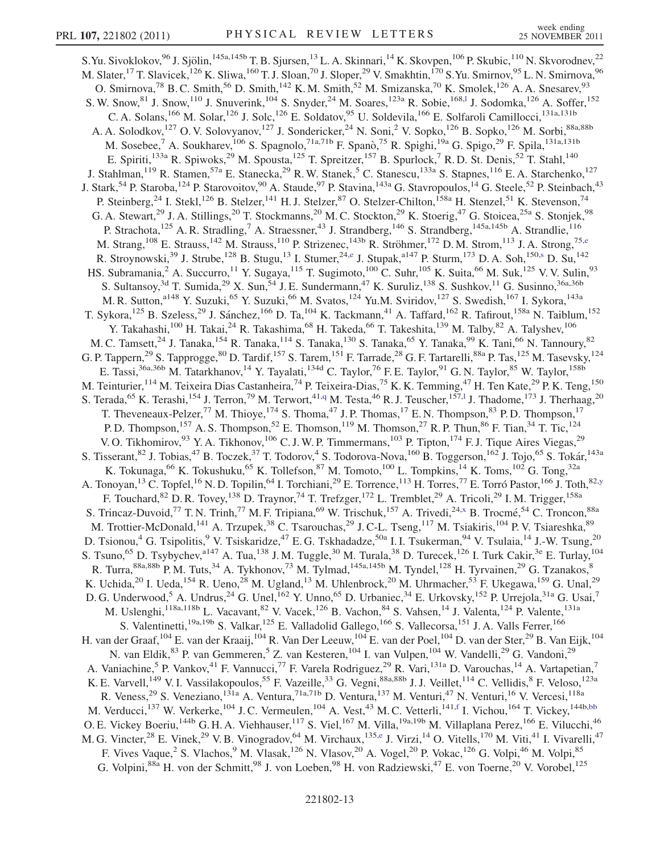<span id="page-12-0"></span>S.Yu. Sivoklokov, $96$  J. Sjölin, $^{145a,145b}$  T. B. Sjursen, $^{13}$  L. A. Skinnari, $^{14}$  K. Skovpen, $^{106}$  P. Skubic, $^{110}$  N. Skvorodnev, $^{22}$ M. Slater, <sup>17</sup> T. Slavicek, <sup>126</sup> K. Sliwa, <sup>160</sup> T. J. Sloan, <sup>70</sup> J. Sloper, <sup>29</sup> V. Smakhtin, <sup>170</sup> S. Yu. Smirnov, <sup>95</sup> L. N. Smirnova, <sup>96</sup> O. Smirnova,<sup>78</sup> B. C. Smith,<sup>56</sup> D. Smith,<sup>142</sup> K. M. Smith,<sup>52</sup> M. Smizanska,<sup>70</sup> K. Smolek,<sup>126</sup> A. A. Snesarev,<sup>93</sup> S. W. Snow, <sup>81</sup> J. Snow, <sup>110</sup> J. Snuverink, <sup>104</sup> S. Snyder, <sup>24</sup> M. Soares, <sup>123a</sup> R. Sobie, <sup>168,1</sup> J. Sodomka, <sup>126</sup> A. Soffer, <sup>152</sup> C. A. Solans,<sup>166</sup> M. Solar,<sup>126</sup> J. Solc,<sup>126</sup> E. Soldatov,<sup>95</sup> U. Soldevila,<sup>166</sup> E. Solfaroli Camillocci,<sup>131a,131b</sup> A. A. Solodkov,<sup>127</sup> O. V. Solovyanov,<sup>127</sup> J. Sondericker,<sup>24</sup> N. Soni,<sup>2</sup> V. Sopko,<sup>126</sup> B. Sopko,<sup>126</sup> M. Sorbi,<sup>88a,88b</sup> M. Sosebee,<sup>7</sup> A. Soukharev,<sup>106</sup> S. Spagnolo,<sup>71a,71b</sup> F. Spanò,<sup>75</sup> R. Spighi,<sup>19a</sup> G. Spigo,<sup>29</sup> F. Spila,<sup>131a,131b</sup> E. Spiriti,<sup>133a</sup> R. Spiwoks,<sup>29</sup> M. Spousta,<sup>125</sup> T. Spreitzer,<sup>157</sup> B. Spurlock,<sup>7</sup> R. D. St. Denis,<sup>52</sup> T. Stahl,<sup>140</sup> J. Stahlman,<sup>119</sup> R. Stamen,<sup>57a</sup> E. Stanecka,<sup>29</sup> R. W. Stanek,<sup>5</sup> C. Stanescu,<sup>133a</sup> S. Stapnes,<sup>116</sup> E. A. Starchenko,<sup>127</sup> J. Stark,<sup>54</sup> P. Staroba,<sup>124</sup> P. Starovoitov,<sup>90</sup> A. Staude,<sup>97</sup> P. Stavina,<sup>143a</sup> G. Stavropoulos,<sup>14</sup> G. Steele,<sup>52</sup> P. Steinbach,<sup>43</sup> P. Steinberg,<sup>24</sup> I. Stekl,<sup>126</sup> B. Stelzer,<sup>141</sup> H. J. Stelzer,<sup>87</sup> O. Stelzer-Chilton,<sup>158a</sup> H. Stenzel,<sup>51</sup> K. Stevenson,<sup>74</sup> G. A. Stewart,<sup>29</sup> J. A. Stillings,<sup>20</sup> T. Stockmanns,<sup>20</sup> M. C. Stockton,<sup>29</sup> K. Stoerig,<sup>47</sup> G. Stoicea,<sup>25a</sup> S. Stonjek,<sup>98</sup> P. Strachota,<sup>125</sup> A. R. Stradling,<sup>7</sup> A. Straessner,<sup>43</sup> J. Strandberg,<sup>146</sup> S. Strandberg,<sup>145a,145b</sup> A. Strandlie,<sup>116</sup> M. Strang,<sup>108</sup> E. Strauss,<sup>142</sup> M. Strauss,<sup>110</sup> P. Striz[e](#page-17-4)nec,<sup>143b</sup> R. Ströhmer,<sup>172</sup> D. M. Strom,<sup>113</sup> J. A. Strong,<sup>75,e</sup> R. Stroynowski,<sup>39</sup> J. Strub[e](#page-17-4),<[s](#page-17-18)up>128</sup> B. Stugu,<sup>13</sup> I. Stumer,<sup>24,e</sup> J. Stupak,<sup>a147</sup> P. Sturm,<sup>173</sup> D. A. Soh,<sup>150,s</sup> D. Su,<sup>142</sup> HS. Subramania,<sup>2</sup> A. Succurro,<sup>11</sup> Y. Sugaya,<sup>115</sup> T. Sugimoto,<sup>100</sup> C. Suhr,<sup>105</sup> K. Suita,<sup>66</sup> M. Suk,<sup>125</sup> V. V. Sulin,<sup>93</sup> S. Sultansoy,<sup>3d</sup> T. Sumida,<sup>29</sup> X. Sun,<sup>54</sup> J. E. Sundermann,<sup>47</sup> K. Suruliz,<sup>138</sup> S. Sushkov,<sup>11</sup> G. Susinno,<sup>36a,36b</sup> M. R. Sutton,<sup>a148</sup> Y. Suzuki,<sup>65</sup> Y. Suzuki,<sup>66</sup> M. Svatos,<sup>124</sup> Yu.M. Sviridov,<sup>127</sup> S. Swedish,<sup>167</sup> I. Sykora,<sup>143a</sup> T. Sykora,<sup>125</sup> B. Szeless,<sup>29</sup> J. Sánchez,<sup>166</sup> D. Ta,<sup>104</sup> K. Tackmann,<sup>41</sup> A. Taffard,<sup>162</sup> R. Tafirout,<sup>158a</sup> N. Taiblum,<sup>152</sup> Y. Takahashi,<sup>100</sup> H. Takai,<sup>24</sup> R. Takashima,<sup>68</sup> H. Takeda,<sup>66</sup> T. Takeshita,<sup>139</sup> M. Talby,<sup>82</sup> A. Talyshev,<sup>106</sup> M. C. Tamsett,<sup>24</sup> J. Tanaka,<sup>154</sup> R. Tanaka,<sup>114</sup> S. Tanaka,<sup>130</sup> S. Tanaka,<sup>65</sup> Y. Tanaka,<sup>99</sup> K. Tani,<sup>66</sup> N. Tannoury,<sup>82</sup> G. P. Tappern,<sup>29</sup> S. Tapprogge,<sup>80</sup> D. Tardif,<sup>157</sup> S. Tarem,<sup>151</sup> F. Tarrade,<sup>28</sup> G. F. Tartarelli,<sup>88a</sup> P. Tas,<sup>125</sup> M. Tasevsky,<sup>124</sup> E. Tassi,<sup>36a,36b</sup> M. Tatarkhanov,<sup>14</sup> Y. Tayalati,<sup>134d</sup> C. Taylor,<sup>76</sup> F.E. Taylor,<sup>91</sup> G.N. Taylor,<sup>85</sup> W. Taylor,<sup>158b</sup> M. Teinturier, <sup>114</sup> M. Teixeira Dias Castanheira, <sup>74</sup> P. Teixeira-Dias, <sup>75</sup> K. K. Temming, <sup>47</sup> H. Ten Kate, <sup>29</sup> P. K. Teng, <sup>150</sup> S. Terada, <sup>65</sup> K. Terashi, <sup>154</sup> J. Terron, <sup>79</sup> M. Terwort, <sup>41[,q](#page-17-16)</sup> M. Testa, <sup>46</sup> R. J. Teuscher, <sup>157,1</sup> J. Thadome, <sup>173</sup> J. Therhaag, <sup>20</sup> S. Terada,<sup>65</sup> K. Terashi,<sup>154</sup> J. Terron,<sup>79</sup> M. Terwort,<sup>41,q</sup> M. Testa,<sup>46</sup> R. J. Teuscher,<sup>157,1</sup> J. Thadome,<sup>173</sup> J. Therhaag,<sup>20</sup><br>T. Theveneaux-Pelzer,<sup>77</sup> M. Thioye,<sup>174</sup> S. Thoma,<sup>47</sup> J. P. Thomas,<sup>17</sup> E. N. Thomp P. D. Thompson,<sup>157</sup> A. S. Thompson,<sup>52</sup> E. Thomson,<sup>119</sup> M. Thomson,<sup>27</sup> R. P. Thun,<sup>86</sup> F. Tian,<sup>34</sup> T. Tic,<sup>124</sup> V. O. Tikhomirov,<sup>93</sup> Y. A. Tikhonov,<sup>106</sup> C. J. W. P. Timmermans,<sup>103</sup> P. Tipton,<sup>174</sup> F. J. Tique Aires Viegas,<sup>29</sup> S. Tisserant, <sup>82</sup> J. Tobias, <sup>47</sup> B. Toczek, <sup>37</sup> T. Todorov, <sup>4</sup> S. Todorova-Nova, <sup>160</sup> B. Toggerson, <sup>162</sup> J. Tojo, <sup>65</sup> S. Tokár, <sup>143a</sup> K. Tokunaga, <sup>66</sup> K. Tokushuku, <sup>65</sup> K. Tollefson, <sup>87</sup> M. Tomoto, <sup>100</sup> L. Tompkins, <sup>14</sup> K. Toms, <sup>102</sup> G. Tong, <sup>32a</sup> A. Tonoyan,<sup>13</sup> C. Topfel,<sup>16</sup> N. D. Topilin,<sup>64</sup> I. Torchiani,<sup>29</sup> E. Torrence,<sup>113</sup> H. Torres,<sup>77</sup> E. Torró Pastor,<sup>166</sup> J. Toth,<sup>82[,y](#page-17-24)</sup> F. Touchard,  $82$  D. R. Tovey,  $138$  D. Traynor,  $74$  T. Trefzger,  $172$  L. Tremblet,  $29$  A. Tricoli,  $29$  I. M. Trigger,  $158a$ S. Trincaz-Duvoid,<sup>77</sup> T. N. Trinh,<sup>77</sup> M. F. Tripiana,<sup>69</sup> W. Trischuk,<sup>157</sup> A. Trivedi,<sup>24,[x](#page-17-23)</sup> B. Trocmé,<sup>54</sup> C. Troncon,<sup>88a</sup> M. Trottier-McDonald,<sup>141</sup> A. Trzupek,<sup>38</sup> C. Tsarouchas,<sup>29</sup> J. C-L. Tseng,<sup>117</sup> M. Tsiakiris,<sup>104</sup> P. V. Tsiareshka,<sup>89</sup> D. Tsionou,<sup>4</sup> G. Tsipolitis,<sup>9</sup> V. Tsiskaridze,<sup>47</sup> E. G. Tskhadadze,<sup>50a</sup> I. I. Tsukerman,<sup>94</sup> V. Tsulaia,<sup>14</sup> J.-W. Tsung,<sup>20</sup> S. Tsuno,<sup>65</sup> D. Tsybychev,<sup>a147</sup> A. Tua,<sup>138</sup> J. M. Tuggle,<sup>30</sup> M. Turala,<sup>38</sup> D. Turecek,<sup>126</sup> I. Turk Cakir,<sup>3e</sup> E. Turlay,<sup>104</sup> R. Turra, <sup>88a,88b</sup> P. M. Tuts, <sup>34</sup> A. Tykhonov, <sup>73</sup> M. Tylmad, <sup>145a,145b</sup> M. Tyndel, <sup>128</sup> H. Tyrvainen, <sup>29</sup> G. Tzanakos, <sup>8</sup> K. Uchida,<sup>20</sup> I. Ueda,<sup>154</sup> R. Ueno,<sup>28</sup> M. Ugland,<sup>13</sup> M. Uhlenbrock,<sup>20</sup> M. Uhrmacher,<sup>53</sup> F. Ukegawa,<sup>159</sup> G. Unal,<sup>29</sup> D. G. Underwood,<sup>5</sup> A. Undrus,<sup>24</sup> G. Unel,<sup>162</sup> Y. Unno,<sup>65</sup> D. Urbaniec,<sup>34</sup> E. Urkovsky,<sup>152</sup> P. Urrejola,<sup>31a</sup> G. Usai,<sup>7</sup> M. Uslenghi, <sup>118a,118b</sup> L. Vacavant, <sup>82</sup> V. Vacek, <sup>126</sup> B. Vachon, <sup>84</sup> S. Vahsen, <sup>14</sup> J. Valenta, <sup>124</sup> P. Valente, <sup>131a</sup> S. Valentinetti,<sup>19a,19b</sup> S. Valkar,<sup>125</sup> E. Valladolid Gallego,<sup>166</sup> S. Vallecorsa,<sup>151</sup> J. A. Valls Ferrer,<sup>166</sup> H. van der Graaf, <sup>104</sup> E. van der Kraaij, <sup>104</sup> R. Van Der Leeuw, <sup>104</sup> E. van der Poel, <sup>104</sup> D. van der Ster, <sup>29</sup> B. Van Eijk, <sup>104</sup> N. van Eldik,<sup>83</sup> P. van Gemmeren,<sup>5</sup> Z. van Kesteren,<sup>104</sup> I. van Vulpen,<sup>104</sup> W. Vandelli,<sup>29</sup> G. Vandoni,<sup>29</sup> A. Vaniachine,<sup>5</sup> P. Vankov,<sup>41</sup> F. Vannucci,<sup>77</sup> F. Varela Rodriguez,<sup>29</sup> R. Vari,<sup>131a</sup> D. Varouchas,<sup>14</sup> A. Vartapetian,<sup>7</sup> K. E. Varvell,<sup>149</sup> V. I. Vassilakopoulos,<sup>55</sup> F. Vazeille,<sup>33</sup> G. Vegni,<sup>88a,88b</sup> J. J. Veillet,<sup>114</sup> C. Vellidis,<sup>8</sup> F. Veloso,<sup>123a</sup> R. Veness,<sup>29</sup> S. Veneziano,<sup>131a</sup> A. Ventura,<sup>71a,71b</sup> D. Ventura,<sup>137</sup> M. Venturi,<sup>47</sup> N. Venturi,<sup>16</sup> V. Vercesi,<sup>118a</sup> M. Verducci,<sup>137</sup> W. Verkerke,<sup>104</sup> J.C. Vermeulen,<sup>104</sup> A. Vest,<sup>43</sup> M.C. Vetterli,<sup>141[,f](#page-17-5)</sup> I. Vichou,<sup>164</sup> T. Vickey,<sup>144b[,bb](#page-17-27)</sup> O. E. Vickey Boeriu,<sup>144b</sup> G. H. A. Viehhauser,<sup>117</sup> S. Viel,<sup>167</sup> M. Villa,<sup>19a,19b</sup> M. Villaplana Perez,<sup>166</sup> E. Vilucchi,<sup>46</sup> M. G. Vinct[e](#page-17-4)r,<sup>28</sup> E. Vinek,<sup>29</sup> V. B. Vinogradov,<sup>64</sup> M. Virchaux,<sup>135,e</sup> J. Virzi,<sup>14</sup> O. Vitells,<sup>170</sup> M. Viti,<sup>41</sup> I. Vivarelli,<sup>47</sup> F. Vives Vaque,<sup>2</sup> S. Vlachos,<sup>9</sup> M. Vlasak,<sup>126</sup> N. Vlasov,<sup>20</sup> A. Vogel,<sup>20</sup> P. Vokac,<sup>126</sup> G. Volpi,<sup>46</sup> M. Volpi,<sup>85</sup> G. Volpini,<sup>88a</sup> H. von der Schmitt,<sup>98</sup> J. von Loeben,<sup>98</sup> H. von Radziewski,<sup>47</sup> E. von Toerne,<sup>20</sup> V. Vorobel,<sup>125</sup>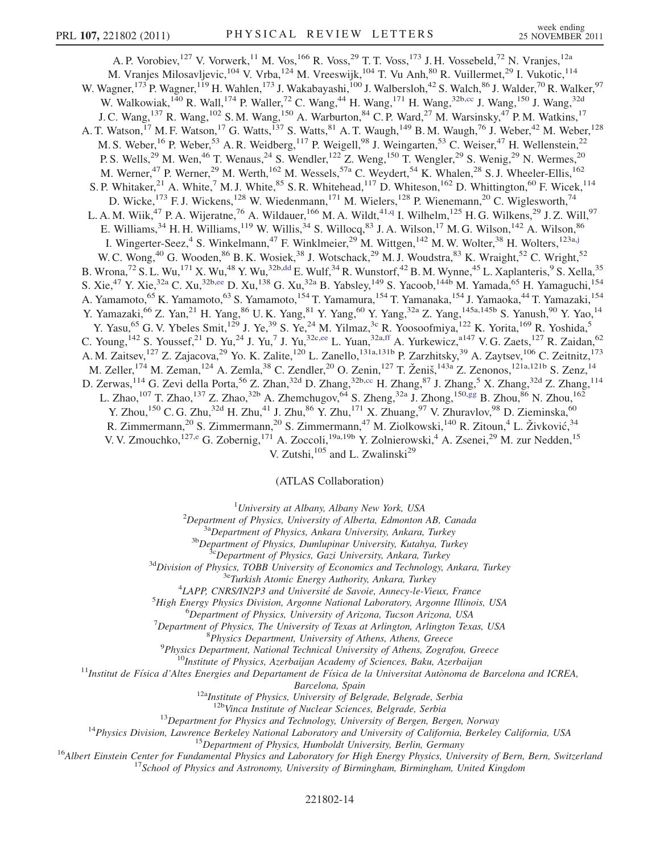<span id="page-13-1"></span>A. P. Vorobiev, <sup>127</sup> V. Vorwerk, <sup>11</sup> M. Vos, <sup>166</sup> R. Voss, <sup>29</sup> T. T. Voss, <sup>173</sup> J. H. Vossebeld, <sup>72</sup> N. Vranjes, <sup>12a</sup> M. Vranjes Milosavljevic,<sup>104</sup> V. Vrba,<sup>124</sup> M. Vreeswijk,<sup>104</sup> T. Vu Anh,<sup>80</sup> R. Vuillermet,<sup>29</sup> I. Vukotic,<sup>114</sup> W. Wagner,<sup>173</sup> P. Wagner,<sup>119</sup> H. Wahlen,<sup>173</sup> J. Wakabayashi,<sup>100</sup> J. Walbersloh,<sup>42</sup> S. Walch,<sup>86</sup> J. Walder,<sup>70</sup> R. Walker,<sup>97</sup> W. Walkowiak,<sup>140</sup> R. Wall,<sup>174</sup> P. Waller,<sup>72</sup> C. Wang,<sup>44</sup> H. Wang,<sup>171</sup> H. Wang,<sup>32b,[cc](#page-17-28)</sup> J. Wang,<sup>150</sup> J. Wang,<sup>32d</sup> J. C. Wang,<sup>137</sup> R. Wang,<sup>102</sup> S. M. Wang,<sup>150</sup> A. Warburton,<sup>84</sup> C. P. Ward,<sup>27</sup> M. Warsinsky,<sup>47</sup> P. M. Watkins,<sup>17</sup> A. T. Watson,<sup>17</sup> M. F. Watson,<sup>17</sup> G. Watts,<sup>137</sup> S. Watts,<sup>81</sup> A. T. Waugh,<sup>149</sup> B. M. Waugh,<sup>76</sup> J. Weber,<sup>42</sup> M. Weber,<sup>128</sup> M. S. Weber, <sup>16</sup> P. Weber, <sup>53</sup> A. R. Weidberg, <sup>117</sup> P. Weigell, <sup>98</sup> J. Weingarten, <sup>53</sup> C. Weiser, <sup>47</sup> H. Wellenstein, <sup>22</sup> P. S. Wells,<sup>29</sup> M. Wen,<sup>46</sup> T. Wenaus,<sup>24</sup> S. Wendler,<sup>122</sup> Z. Weng,<sup>150</sup> T. Wengler,<sup>29</sup> S. Wenig,<sup>29</sup> N. Wermes,<sup>20</sup> M. Werner,<sup>47</sup> P. Werner,<sup>29</sup> M. Werth,<sup>162</sup> M. Wessels,<sup>57a</sup> C. Weydert,<sup>54</sup> K. Whalen,<sup>28</sup> S. J. Wheeler-Ellis,<sup>162</sup> S. P. Whitaker,  $^{21}$  A. White,  $^{7}$  M. J. White,  $^{85}$  S. R. Whitehead,  $^{117}$  D. Whiteson,  $^{162}$  D. Whittington,  $^{60}$  F. Wicek,  $^{114}$ D. Wicke,<sup>173</sup> F. J. Wickens,<sup>128</sup> W. Wiedenmann,<sup>171</sup> M. Wielers,<sup>128</sup> P. Wienemann,<sup>20</sup> C. Wiglesworth,<sup>74</sup> L. A. M. Wiik,<sup>47</sup> P. A. Wijeratne,<sup>76</sup> A. Wildauer,<sup>166</sup> M. A. Wildt,<sup>41,[q](#page-17-16)</sup> I. Wilhelm,<sup>125</sup> H. G. Wilkens,<sup>29</sup> J. Z. Will,<sup>97</sup> E. Williams,<sup>34</sup> H. H. Williams,<sup>119</sup> W. Willis,<sup>34</sup> S. Willocq,<sup>83</sup> J. A. Wilson,<sup>17</sup> M. G. Wilson,<sup>142</sup> A. Wilson,<sup>86</sup> I. Wingerter-Seez,<sup>4</sup> S. Winkelmann,<sup>47</sup> F. Winklmeier,<sup>29</sup> M. Wittgen,<sup>142</sup> M. W. Wolter,<sup>38</sup> H. Wolters,<sup>123a,[j](#page-17-9)</sup> W. C. Wong,<sup>40</sup> G. Wooden,<sup>86</sup> B. K. Wosiek,<sup>38</sup> J. Wotschack,<sup>29</sup> M. J. Woudstra,<sup>83</sup> K. Wraight,<sup>52</sup> C. Wright,<sup>52</sup> B. Wrona,<sup>72</sup> S. L. Wu,<sup>171</sup> X. Wu,<sup>48</sup> Y. Wu,<sup>32b,[dd](#page-17-29)</sup> E. Wulf,<sup>34</sup> R. Wunstorf,<sup>42</sup> B. M. Wynne,<sup>45</sup> L. Xaplanteris,<sup>9</sup> S. Xella,<sup>35</sup> S. Xie,<sup>47</sup> Y. Xie,<sup>32a</sup> C. Xu,<sup>32b[,ee](#page-17-30)</sup> D. Xu,<sup>138</sup> G. Xu,<sup>32a</sup> B. Yabsley,<sup>149</sup> S. Yacoob,<sup>144b</sup> M. Yamada,<sup>65</sup> H. Yamaguchi,<sup>154</sup> A. Yamamoto,<sup>65</sup> K. Yamamoto,<sup>63</sup> S. Yamamoto,<sup>154</sup> T. Yamamura,<sup>154</sup> T. Yamanaka,<sup>154</sup> J. Yamaoka,<sup>44</sup> T. Yamazaki,<sup>154</sup> Y. Yamazaki,<sup>66</sup> Z. Yan,<sup>21</sup> H. Yang,<sup>86</sup> U. K. Yang,<sup>81</sup> Y. Yang,<sup>60</sup> Y. Yang,<sup>32a</sup> Z. Yang,<sup>145a,145b</sup> S. Yanush,<sup>90</sup> Y. Yao,<sup>14</sup> Y. Yasu,<sup>65</sup> G. V. Ybeles Smit,<sup>129</sup> J. Ye,<sup>39</sup> S. Ye,<sup>24</sup> M. Yilmaz,<sup>3c</sup> R. Yoosoofmiya,<sup>122</sup> K. Yorita,<sup>169</sup> R. Yoshida,<sup>5</sup> C. Young,  $^{142}$  S. Youssef,  $^{21}$  D. Yu,  $^{24}$  J. Yu,  $^{7}$  J. Yu,  $^{32c,ee}$  $^{32c,ee}$  $^{32c,ee}$  L. Yuan,  $^{32a,ff}$  $^{32a,ff}$  $^{32a,ff}$  A. Yurkewicz,  $^{a147}$  V. G. Zaets,  $^{127}$  R. Zaidan,  $^{62}$ A. M. Zaitsev, <sup>127</sup> Z. Zajacova, <sup>29</sup> Yo. K. Zalite, <sup>120</sup> L. Zanello, <sup>131a, 131b</sup> P. Zarzhitsky, <sup>39</sup> A. Zaytsev, <sup>106</sup> C. Zeitnitz, <sup>173</sup> M. Zeller, <sup>174</sup> M. Zeman, <sup>124</sup> A. Zemla, <sup>38</sup> C. Zendler, <sup>20</sup> O. Zenin, <sup>127</sup> T. Ženiš, <sup>143a</sup> Z. Zenonos, <sup>121a, 121b</sup> S. Zenz, <sup>14</sup> D. Zerwas,<sup>114</sup> G. Zevi della Porta,<sup>56</sup> Z. Zhan,<sup>32d</sup> D. Zhang,<sup>32b[,cc](#page-17-28)</sup> H. Zhang,<sup>87</sup> J. Zhang,<sup>5</sup> X. Zhang,<sup>32d</sup> Z. Zhang,<sup>114</sup> L. Zhao,<sup>107</sup> T. Zhao,<sup>137</sup> Z. Zhao,<sup>32b</sup> A. Zhemchugov,<sup>64</sup> S. Zheng,<sup>32a</sup> J. Zhong,<sup>150,[gg](#page-17-32)</sup> B. Zhou,<sup>86</sup> N. Zhou,<sup>162</sup> Y. Zhou,<sup>150</sup> C. G. Zhu,<sup>32d</sup> H. Zhu,<sup>41</sup> J. Zhu,<sup>86</sup> Y. Zhu,<sup>171</sup> X. Zhuang,<sup>97</sup> V. Zhuravlov,<sup>98</sup> D. Zieminska,<sup>60</sup> R. Zimmermann,<sup>20</sup> S. Zimmermann,<sup>20</sup> S. Zimmermann,<sup>47</sup> M. Ziolkowski,<sup>140</sup> R. Zitoun,<sup>4</sup> L. Živković,<sup>34</sup> V. V. Zmouchko, <sup>127[,e](#page-17-4)</sup> G. Zobernig, <sup>171</sup> A. Zoccoli, <sup>19a, 19b</sup> Y. Zolnierowski, <sup>4</sup> A. Zsenei, <sup>29</sup> M. zur Nedden, <sup>15</sup> V. Zutshi, $^{105}$  and L. Zwalinski<sup>29</sup>

(ATLAS Collaboration)

 $1$ University at Albany, Albany New York, USA

<sup>2</sup>Department of Physics, University of Alberta, Edmonton AB, Canada

<span id="page-13-3"></span><span id="page-13-2"></span><span id="page-13-0"></span><sup>3a</sup>Department of Physics, Ankara University, Ankara, Turkey<br><sup>3b</sup>Department of Physics, Dumlupinar University, Kutahya, Turkey<br><sup>3c</sup>Department of Physics, Gazi University, Ankara, Turkey<br><sup>3d</sup>Division of Physics, TOBB Unive

 ${}^{4}$ LAPP, CNRS/IN2P3 and Université de Savoie, Annecy-le-Vieux, France

 ${}^{5}$ High Energy Physics Division, Argonne National Laboratory, Argonne Illinois, USA

<sup>6</sup>Department of Physics, University of Arizona, Tucson Arizona, USA

 $17$ Department of Physics, The University of Texas at Arlington, Arlington Texas, USA

<sup>8</sup>Physics Department, University of Athens, Athens, Greece<br><sup>9</sup>Physics Department, National Technical University of Athens, Zografou, Greece

<sup>10</sup>Institute of Physics, Azerbaijan Academy of Sciences, Baku, Azerbaijan<br><sup>11</sup>Institut de Física d'Altes Energies and Departament de Física de la Universitat Autònoma de Barcelona and ICREA,

Barcelona, Spain<br><sup>12a</sup>Institute of Physics, University of Belgrade, Belgrade, Serbia<br><sup>12b</sup>Vinca Institute of Nuclear Sciences, Belgrade, Serbia

<sup>13</sup>Department for Physics and Technology, University of Bergen, Bergen, Norway<br><sup>14</sup>Physics Division, Lawrence Berkeley National Laboratory and University of California, Berkeley California, USA<br><sup>15</sup>Department of Physics,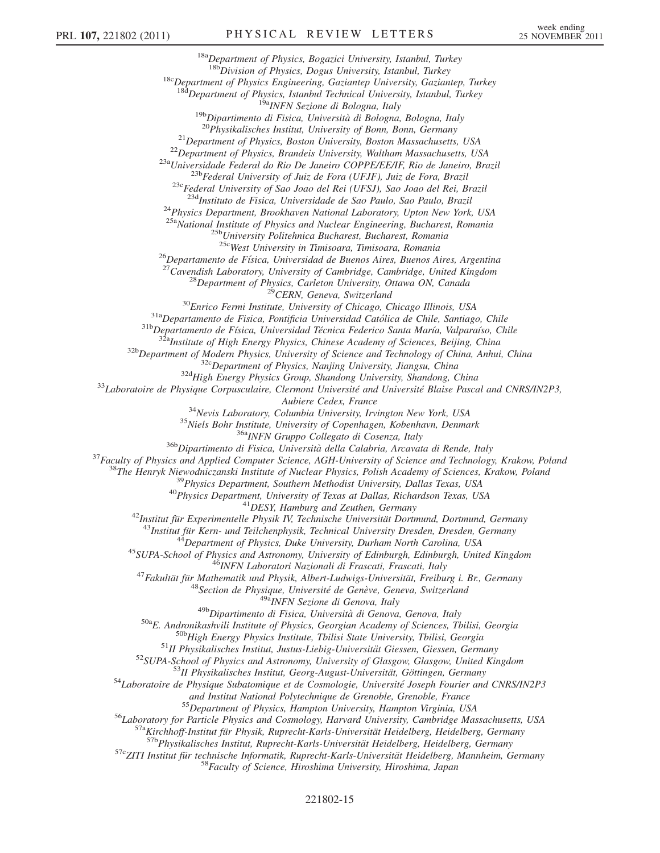$18a$ Department of Physics, Bogazici University, Istanbul, Turkey<br> $18b$ Division of Physics, Dogus University, Istanbul, Turkey  $18c$ Department of Physics Engineering, Gaziantep University, Gaziantep, Turkey  $18d$ Department of Physics, Istanbul Technical University, Istanbul, Turkey <sup>19b</sup>Dipartimento di Fisica, Università di Bologna, Bologna, Italy<br><sup>19b</sup>Dipartimento di Fisica, Università di Bologna, Bologna, Italy<br><sup>20</sup>Physikalisches Institut, University of Bonn, Bonn, Germany<br><sup>21</sup>Department of Physic <sup>24</sup>Physics Department, Brookhaven National Laboratory, Upton New York, USA <sup>25a</sup>National Institute of Physics and Nuclear Engineering, Bucharest, Romania<br><sup>25b</sup>University Politehnica Bucharest, Bucharest, Romania<br><sup>25c</sup>West University in Timisoara, Timisoara, Romania <sup>256</sup>West University in Timisoara, Timisoara, Romania<br><sup>26</sup>Departamento de Física, Universidad de Buenos Aires, Buenos Aires, Argentina<br><sup>27</sup>Cavendish Laboratory, University of Cambridge, Cambridge, United Kingdom<br><sup>28</sup>Depar Alberic Cedex, France (Architer Cedex, France (Architer Cedex, Thington New York, USA<br>
<sup>35</sup>Niels Bohr Institute, University of Copenhagen, Kobenhavn, Denmark<br>
<sup>35</sup>Niels Bohr Institute, University of Copenhagen, Kobenhavn, and Institut National Polytechnique de Grenoble, Grenoble, France<br><sup>55</sup>Department of Physics, Hampton University, Hampton Virginia, USA<br><sup>56</sup>Laboratory for Particle Physics and Cosmology, Harvard University, Cambridge Massa

## 221802-15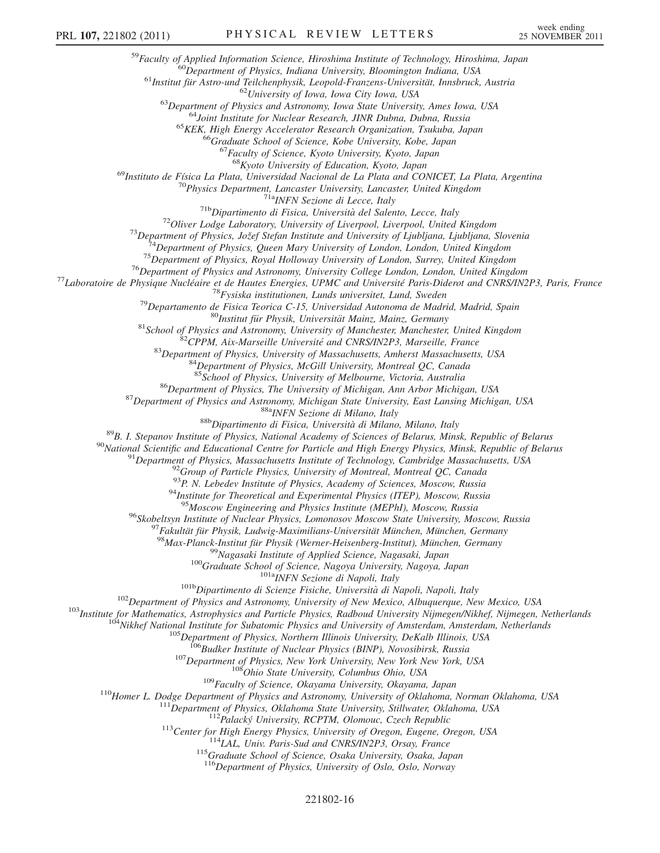<sup>59</sup>Faculty of Applied Information Science, Hiroshima Institute of Technology, Hiroshima, Japan<br><sup>60</sup>Department of Physics, Indiana University, Bloomington Indiana, USA<br><sup>61</sup>Institut für Astro-und Teilchenphysik, Leopold-Fr

<sup>69</sup>Instituto de Física La Plata, Universidad Nacional de La Plata and CONICET, La Plata, Argentina<br><sup>70</sup>Physics Department, Lancaster University, Lancaster, United Kingdom

<sup>70</sup>Physics Department, Lancaster University, Lancaster, United Kingdom<br>
<sup>71</sup><sup>Physi</sup>Nexione di Lecce, Italy<br>
<sup>71</sup>PhysiNexione di Eisica, Università del Salento, Lecce, Italy<br>
<sup>72</sup>Oliver Lodge Laboratory, University of Liv

<sup>85</sup>School of Physics, University of Melbourne, Victoria, Australia<br><sup>86</sup>Department of Physics, The University of Michigan, Ann Arbor Michigan, USA<br><sup>87</sup>Department of Physics and Astronomy, Michigan State University, East L

<sup>94</sup>Institute for Theoretical and Experimental Physics (ITEP), Moscow, Russia  $^{95}$ Moscow Engineering and Physics Institute (MEPhI), Moscow, Russia

<sup>95</sup>Moscow Engineering and Physics Institute (MEPhI), Moscow, Russia<br>
<sup>95</sup>Skobeltsyn Institute of Nuclear Physics, Lomonosov Moscow State University, Moscow, Russia<br>
<sup>97</sup>Exkulidi für Physik, Loudwig-Maxtimilians-Universitä

<sup>115</sup>Graduate School of Science, Osaka University, Osaka, Japan<br><sup>116</sup>Department of Physics, University of Oslo, Oslo, Norway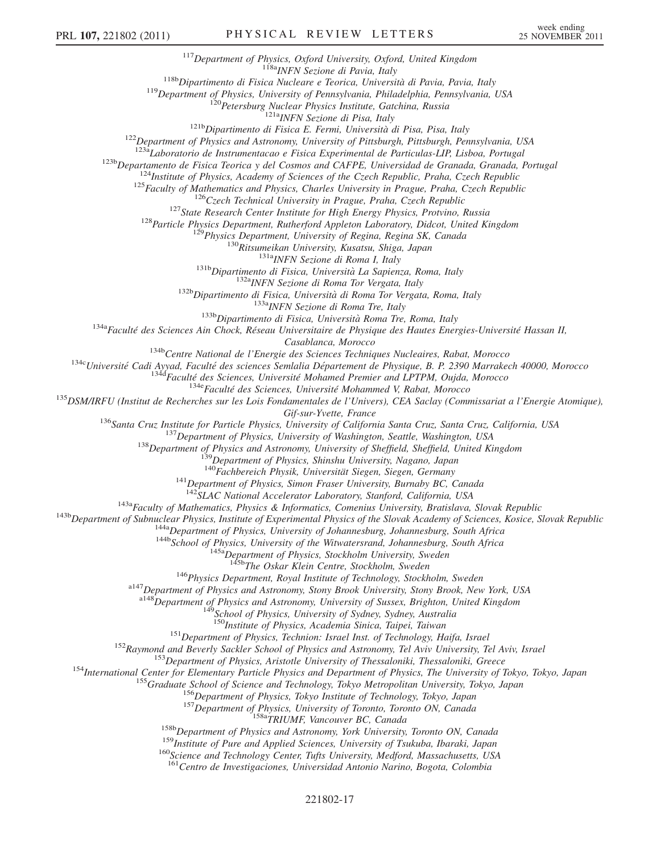<sup>117</sup>Department of Physics, Oxford University, Oxford, United Kingdom<br><sup>118b</sup>Dipartimento di Fisica Nucleare e Teorica, Università di Pavia, Pavia, Italy<br><sup>119</sup>Department of Physics, University of Pennsylvania, Philadelphia

 $\begin{small} ^{1235}1234 \\ 1235 \end{smallmatrix} \begin{smallmatrix} 1235 \\ 1235 \\ 124 \\ 124 \\ 125 \\ 126 \\ 127 \\ 128 \\ 129 \\ 120 \\ 121 \\ 123 \\ 124 \\ 125 \\ 126 \\ 127 \\ 128 \\ 129 \\ 120 \\ 121 \\ 124 \\ 125 \\ 126 \\ 128 \\ 129 \\ 120 \\ 121 \\ 124 \\ 125 \\ 126 \\ 127 \\ 128 \\ 129 \\ 129 \\ 120 \\ 121 \\ 122$ 

Casablanca, Morocco<br><sup>134</sup><sup>134</sup>Centre National de l'Energie des Sciences Techniques Nucleaires, Rabat, Morocco<br><sup>134</sup>Centre National de l'Energie des Sciences Techniques Nucleaires, Rabat, Morocco<br><sup>1346</sup>Faculté des Sciences,

Gif-sur-Yvette, France<br>
<sup>136</sup>Santa Cruz, Institute for Particle Physics, University of California Santa Cruz, Santa Cruz, California, USA<br>
<sup>137</sup> Department of Physics, University of Washington, Seattle, Washington, USA<br>
<sup>1</sup>

<sup>143a</sup> Bepartment of Subnuclear Physics, Institute of Experimental Physics of the Slovak Academy of Sciences, Kosice, Slovak Republic<br><sup>143b</sup> Department of Subnuclear Physics, Institute of Experimental Physics of the Slova

 $^{146}$ Physics Department, Royal Institute of Technology, Stockholm, Sweden  $^{147}$ Department of Physics and Astronomy, Stony Brook University, Stony Brook, New York, USA

<sup>a148</sup>Department of Physics and Astronomy, University of Sussex, Brighton, United Kingdom <sup>149</sup>School of Physics, University of Sydney, Sydney, Australia<br><sup>150</sup>Institute of Physics, Academia Sinica, Taipei, Taiwan

<sup>151</sup>Department of Physics, Technion: Israel Inst. of Technology, Haifa, Israel<br><sup>152</sup>Raymond and Beverly Sackler School of Physics and Astronomy, Tel Aviv University, Tel Aviv, Israel<br><sup>153</sup>Department of Physics, Aristotle

<sup>161</sup>Centro de Investigaciones, Universidad Antonio Narino, Bogota, Colombia